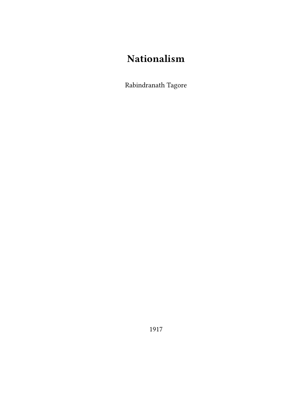# **Nationalism**

Rabindranath Tagore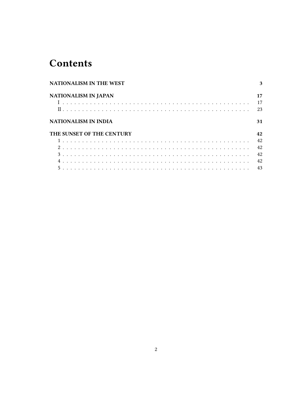# **Contents**

|                           | <b>NATIONALISM IN THE WEST</b> |  |  |  |  |  |  |  |  |  |  |  |  |  |  | 3 |    |  |  |  |  |  |  |  |  |  |  |  |  |  |    |
|---------------------------|--------------------------------|--|--|--|--|--|--|--|--|--|--|--|--|--|--|---|----|--|--|--|--|--|--|--|--|--|--|--|--|--|----|
|                           | <b>NATIONALISM IN JAPAN</b>    |  |  |  |  |  |  |  |  |  |  |  |  |  |  |   | 17 |  |  |  |  |  |  |  |  |  |  |  |  |  |    |
|                           |                                |  |  |  |  |  |  |  |  |  |  |  |  |  |  |   |    |  |  |  |  |  |  |  |  |  |  |  |  |  | 17 |
|                           |                                |  |  |  |  |  |  |  |  |  |  |  |  |  |  |   |    |  |  |  |  |  |  |  |  |  |  |  |  |  | 23 |
| NATIONALISM IN INDIA      |                                |  |  |  |  |  |  |  |  |  |  |  |  |  |  |   |    |  |  |  |  |  |  |  |  |  |  |  |  |  | 31 |
| THE SUNSET OF THE CENTURY |                                |  |  |  |  |  |  |  |  |  |  |  |  |  |  |   | 42 |  |  |  |  |  |  |  |  |  |  |  |  |  |    |
|                           |                                |  |  |  |  |  |  |  |  |  |  |  |  |  |  |   |    |  |  |  |  |  |  |  |  |  |  |  |  |  | 42 |
|                           |                                |  |  |  |  |  |  |  |  |  |  |  |  |  |  |   |    |  |  |  |  |  |  |  |  |  |  |  |  |  | 42 |
|                           |                                |  |  |  |  |  |  |  |  |  |  |  |  |  |  |   |    |  |  |  |  |  |  |  |  |  |  |  |  |  | 42 |
|                           |                                |  |  |  |  |  |  |  |  |  |  |  |  |  |  |   |    |  |  |  |  |  |  |  |  |  |  |  |  |  | 42 |
|                           |                                |  |  |  |  |  |  |  |  |  |  |  |  |  |  |   |    |  |  |  |  |  |  |  |  |  |  |  |  |  |    |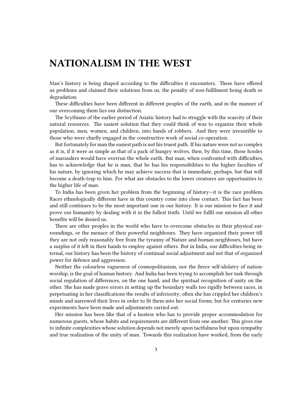### <span id="page-2-0"></span>**NATIONALISM IN THE WEST**

Man's history is being shaped according to the difficulties it encounters. These have offered us problems and claimed their solutions from us, the penalty of non-fulfilment being death or degradation.

These difficulties have been different in different peoples of the earth, and in the manner of our overcoming them lies our distinction.

The Scythians of the earlier period of Asiatic history had to struggle with the scarcity of their natural resources. The easiest solution that they could think of was to organize their whole population, men, women, and children, into bands of robbers. And they were irresistible to those who were chiefly engaged in the constructive work of social co-operation.

But fortunately for man the easiest path is not his truest path. If his nature were not as complex as it is, if it were as simple as that of a pack of hungry wolves, then, by this time, those hordes of marauders would have overrun the whole earth. But man, when confronted with difficulties, has to acknowledge that he is man, that he has his responsibilities to the higher faculties of his nature, by ignoring which he may achieve success that is immediate, perhaps, but that will become a death-trap to him. For what are obstacles to the lower creatures are opportunities to the higher life of man.

To India has been given her problem from the beginning of history—it is the race problem. Races ethnologically different have in this country come into close contact. This fact has been and still continues to be the most important one in our history. It is our mission to face it and prove our humanity by dealing with it in the fullest truth. Until we fulfil our mission all other benefits will be denied us.

There are other peoples in the world who have to overcome obstacles in their physical surroundings, or the menace of their powerful neighbours. They have organized their power till they are not only reasonably free from the tyranny of Nature and human neighbours, but have a surplus of it left in their hands to employ against others. But in India, our difficulties being internal, our history has been the history of continual social adjustment and not that of organized power for defence and aggression.

Neither the colourless vagueness of cosmopolitanism, nor the fierce self-idolatry of nationworship, is the goal of human history. And India has been trying to accomplish her task through social regulation of differences, on the one hand, and the spiritual recognition of unity on the other. She has made grave errors in setting up the boundary walls too rigidly between races, in perpetuating in her classifications the results of inferiority; often she has crippled her children's minds and narrowed their lives in order to fit them into her social forms; but for centuries new experiments have been made and adjustments carried out.

Her mission has been like that of a hostess who has to provide proper accommodation for numerous guests, whose habits and requirements are different from one another. This gives rise to infinite complexities whose solution depends not merely upon tactfulness but upon sympathy and true realization of the unity of man. Towards this realization have worked, from the early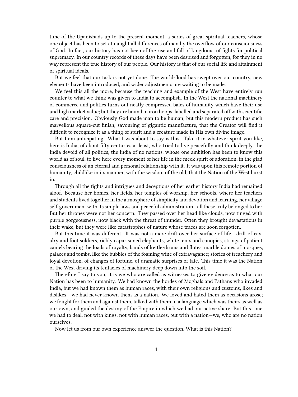time of the Upanishads up to the present moment, a series of great spiritual teachers, whose one object has been to set at naught all differences of man by the overflow of our consciousness of God. In fact, our history has not been of the rise and fall of kingdoms, of fights for political supremacy. In our country records of these days have been despised and forgotten, for they in no way represent the true history of our people. Our history is that of our social life and attainment of spiritual ideals.

But we feel that our task is not yet done. The world-flood has swept over our country, new elements have been introduced, and wider adjustments are waiting to be made.

We feel this all the more, because the teaching and example of the West have entirely run counter to what we think was given to India to accomplish. In the West the national machinery of commerce and politics turns out neatly compressed bales of humanity which have their use and high market value; but they are bound in iron hoops, labelled and separated off with scientific care and precision. Obviously God made man to be human; but this modern product has such marvellous square-cut finish, savouring of gigantic manufacture, that the Creator will find it difficult to recognize it as a thing of spirit and a creature made in His own divine image.

But I am anticipating. What I was about to say is this. Take it in whatever spirit you like, here is India, of about fifty centuries at least, who tried to live peacefully and think deeply, the India devoid of all politics, the India of no nations, whose one ambition has been to know this world as of soul, to live here every moment of her life in the meek spirit of adoration, in the glad consciousness of an eternal and personal relationship with it. It was upon this remote portion of humanity, childlike in its manner, with the wisdom of the old, that the Nation of the West burst in.

Through all the fights and intrigues and deceptions of her earlier history India had remained aloof. Because her homes, her fields, her temples of worship, her schools, where her teachers and students lived together in the atmosphere of simplicity and devotion and learning, her village self-government with its simple laws and peaceful administration—all these truly belonged to her. But her thrones were not her concern. They passed over her head like clouds, now tinged with purple gorgeousness, now black with the threat of thunder. Often they brought devastations in their wake, but they were like catastrophes of nature whose traces are soon forgotten.

But this time it was different. It was not a mere drift over her surface of life,—drift of cavalry and foot soldiers, richly caparisoned elephants, white tents and canopies, strings of patient camels bearing the loads of royalty, bands of kettle-drums and flutes, marble domes of mosques, palaces and tombs, like the bubbles of the foaming wine of extravagance; stories of treachery and loyal devotion, of changes of fortune, of dramatic surprises of fate. This time it was the Nation of the West driving its tentacles of machinery deep down into the soil.

Therefore I say to you, it is we who are called as witnesses to give evidence as to what our Nation has been to humanity. We had known the hordes of Moghals and Pathans who invaded India, but we had known them as human races, with their own religions and customs, likes and dislikes,—we had never known them as a nation. We loved and hated them as occasions arose; we fought for them and against them, talked with them in a language which was theirs as well as our own, and guided the destiny of the Empire in which we had our active share. But this time we had to deal, not with kings, not with human races, but with a nation—we, who are no nation ourselves.

Now let us from our own experience answer the question, What is this Nation?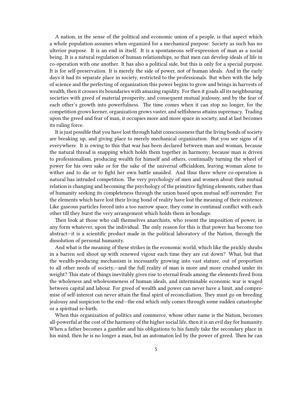A nation, in the sense of the political and economic union of a people, is that aspect which a whole population assumes when organized for a mechanical purpose. Society as such has no ulterior purpose. It is an end in itself. It is a spontaneous self-expression of man as a social being. It is a natural regulation of human relationships, so that men can develop ideals of life in co-operation with one another. It has also a political side, but this is only for a special purpose. It is for self-preservation. It is merely the side of power, not of human ideals. And in the early days it had its separate place in society, restricted to the professionals. But when with the help of science and the perfecting of organization this power begins to grow and brings in harvests of wealth, then it crosses its boundaries with amazing rapidity. For then it goads all its neighbouring societies with greed of material prosperity, and consequent mutual jealousy, and by the fear of each other's growth into powerfulness. The time comes when it can stop no longer, for the competition grows keener, organization grows vaster, and selfishness attains supremacy. Trading upon the greed and fear of man, it occupies more and more space in society, and at last becomes its ruling force.

It is just possible that you have lost through habit consciousness that the living bonds of society are breaking up, and giving place to merely mechanical organization. But you see signs of it everywhere. It is owing to this that war has been declared between man and woman, because the natural thread is snapping which holds them together in harmony; because man is driven to professionalism, producing wealth for himself and others, continually turning the wheel of power for his own sake or for the sake of the universal officialdom, leaving woman alone to wither and to die or to fight her own battle unaided. And thus there where co-operation is natural has intruded competition. The very psychology of men and women about their mutual relation is changing and becoming the psychology of the primitive fighting elements, rather than of humanity seeking its completeness through the union based upon mutual self-surrender. For the elements which have lost their living bond of reality have lost the meaning of their existence. Like gaseous particles forced into a too narrow space, they come in continual conflict with each other till they burst the very arrangement which holds them in bondage.

Then look at those who call themselves anarchists, who resent the imposition of power, in any form whatever, upon the individual. The only reason for this is that power has become too abstract—it is a scientific product made in the political laboratory of the Nation, through the dissolution of personal humanity.

And what is the meaning of these strikes in the economic world, which like the prickly shrubs in a barren soil shoot up with renewed vigour each time they are cut down? What, but that the wealth-producing mechanism is incessantly growing into vast stature, out of proportion to all other needs of society,—and the full reality of man is more and more crushed under its weight? This state of things inevitably gives rise to eternal feuds among the elements freed from the wholeness and wholesomeness of human ideals, and interminable economic war is waged between capital and labour. For greed of wealth and power can never have a limit, and compromise of self-interest can never attain the final spirit of reconciliation. They must go on breeding jealousy and suspicion to the end—the end which only comes through some sudden catastrophe or a spiritual re-birth.

When this organization of politics and commerce, whose other name is the Nation, becomes all-powerful at the cost of the harmony of the higher social life, then it is an evil day for humanity. When a father becomes a gambler and his obligations to his family take the secondary place in his mind, then he is no longer a man, but an automaton led by the power of greed. Then he can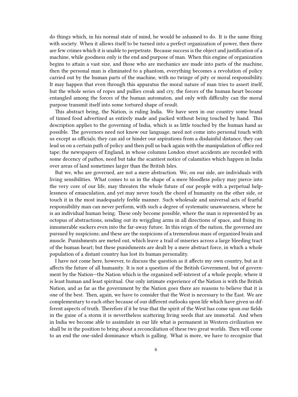do things which, in his normal state of mind, he would be ashamed to do. It is the same thing with society. When it allows itself to be turned into a perfect organization of power, then there are few crimes which it is unable to perpetrate. Because success is the object and justification of a machine, while goodness only is the end and purpose of man. When this engine of organization begins to attain a vast size, and those who are mechanics are made into parts of the machine, then the personal man is eliminated to a phantom, everything becomes a revolution of policy carried out by the human parts of the machine, with no twinge of pity or moral responsibility. It may happen that even through this apparatus the moral nature of man tries to assert itself, but the whole series of ropes and pullies creak and cry, the forces of the human heart become entangled among the forces of the human automaton, and only with difficulty can the moral purpose transmit itself into some tortured shape of result.

This abstract being, the Nation, is ruling India. We have seen in our country some brand of tinned food advertised as entirely made and packed without being touched by hand. This description applies to the governing of India, which is as little touched by the human hand as possible. The governors need not know our language, need not come into personal touch with us except as officials; they can aid or hinder our aspirations from a disdainful distance, they can lead us on a certain path of policy and then pull us back again with the manipulation of office red tape; the newspapers of England, in whose columns London street accidents are recorded with some decency of pathos, need but take the scantiest notice of calamities which happen in India over areas of land sometimes larger than the British Isles.

But we, who are governed, are not a mere abstraction. We, on our side, are individuals with living sensibilities. What comes to us in the shape of a mere bloodless policy may pierce into the very core of our life, may threaten the whole future of our people with a perpetual helplessness of emasculation, and yet may never touch the chord of humanity on the other side, or touch it in the most inadequately feeble manner. Such wholesale and universal acts of fearful responsibility man can never perform, with such a degree of systematic unawareness, where he is an individual human being. These only become possible, where the man is represented by an octopus of abstractions, sending out its wriggling arms in all directions of space, and fixing its innumerable suckers even into the far-away future. In this reign of the nation, the governed are pursued by suspicions; and these are the suspicions of a tremendous mass of organized brain and muscle. Punishments are meted out, which leave a trail of miseries across a large bleeding tract of the human heart; but these punishments are dealt by a mere abstract force, in which a whole population of a distant country has lost its human personality.

I have not come here, however, to discuss the question as it affects my own country, but as it affects the future of all humanity. It is not a question of the British Government, but of government by the Nation—the Nation which is the organized self-interest of a whole people, where it is least human and least spiritual. Our only intimate experience of the Nation is with the British Nation, and as far as the government by the Nation goes there are reasons to believe that it is one of the best. Then, again, we have to consider that the West is necessary to the East. We are complementary to each other because of our different outlooks upon life which have given us different aspects of truth. Therefore if it be true that the spirit of the West has come upon our fields in the guise of a storm it is nevertheless scattering living seeds that are immortal. And when in India we become able to assimilate in our life what is permanent in Western civilization we shall be in the position to bring about a reconciliation of these two great worlds. Then will come to an end the one-sided dominance which is galling. What is more, we have to recognize that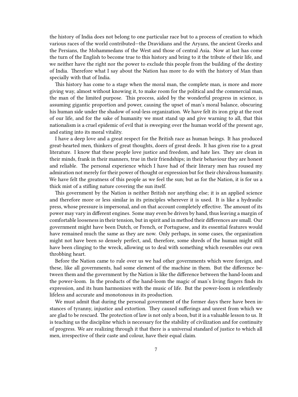the history of India does not belong to one particular race but to a process of creation to which various races of the world contributed—the Dravidians and the Aryans, the ancient Greeks and the Persians, the Mohammedans of the West and those of central Asia. Now at last has come the turn of the English to become true to this history and bring to it the tribute of their life, and we neither have the right nor the power to exclude this people from the building of the destiny of India. Therefore what I say about the Nation has more to do with the history of Man than specially with that of India.

This history has come to a stage when the moral man, the complete man, is more and more giving way, almost without knowing it, to make room for the political and the commercial man, the man of the limited purpose. This process, aided by the wonderful progress in science, is assuming gigantic proportion and power, causing the upset of man's moral balance, obscuring his human side under the shadow of soul-less organization. We have felt its iron grip at the root of our life, and for the sake of humanity we must stand up and give warning to all, that this nationalism is a cruel epidemic of evil that is sweeping over the human world of the present age, and eating into its moral vitality.

I have a deep love and a great respect for the British race as human beings. It has produced great-hearted men, thinkers of great thoughts, doers of great deeds. It has given rise to a great literature. I know that these people love justice and freedom, and hate lies. They are clean in their minds, frank in their manners, true in their friendships; in their behaviour they are honest and reliable. The personal experience which I have had of their literary men has roused my admiration not merely for their power of thought or expression but for their chivalrous humanity. We have felt the greatness of this people as we feel the sun; but as for the Nation, it is for us a thick mist of a stifling nature covering the sun itself.

This government by the Nation is neither British nor anything else; it is an applied science and therefore more or less similar in its principles wherever it is used. It is like a hydraulic press, whose pressure is impersonal, and on that account completely effective. The amount of its power may vary in different engines. Some may even be driven by hand, thus leaving a margin of comfortable looseness in their tension, but in spirit and in method their differences are small. Our government might have been Dutch, or French, or Portuguese, and its essential features would have remained much the same as they are now. Only perhaps, in some cases, the organization might not have been so densely perfect, and, therefore, some shreds of the human might still have been clinging to the wreck, allowing us to deal with something which resembles our own throbbing heart.

Before the Nation came to rule over us we had other governments which were foreign, and these, like all governments, had some element of the machine in them. But the difference between them and the government by the Nation is like the difference between the hand-loom and the power-loom. In the products of the hand-loom the magic of man's living fingers finds its expression, and its hum harmonizes with the music of life. But the power-loom is relentlessly lifeless and accurate and monotonous in its production.

We must admit that during the personal government of the former days there have been instances of tyranny, injustice and extortion. They caused sufferings and unrest from which we are glad to be rescued. The protection of law is not only a boon, but it is a valuable lesson to us. It is teaching us the discipline which is necessary for the stability of civilization and for continuity of progress. We are realizing through it that there is a universal standard of justice to which all men, irrespective of their caste and colour, have their equal claim.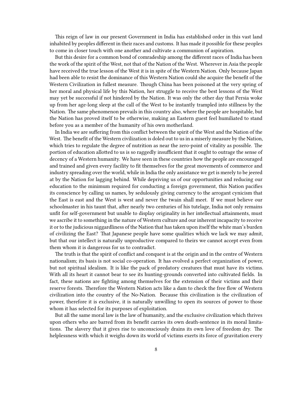This reign of law in our present Government in India has established order in this vast land inhabited by peoples different in their races and customs. It has made it possible for these peoples to come in closer touch with one another and cultivate a communion of aspiration.

But this desire for a common bond of comradeship among the different races of India has been the work of the spirit of the West, not that of the Nation of the West. Wherever in Asia the people have received the true lesson of the West it is in spite of the Western Nation. Only because Japan had been able to resist the dominance of this Western Nation could she acquire the benefit of the Western Civilization in fullest measure. Though China has been poisoned at the very spring of her moral and physical life by this Nation, her struggle to receive the best lessons of the West may yet be successful if not hindered by the Nation. It was only the other day that Persia woke up from her age-long sleep at the call of the West to be instantly trampled into stillness by the Nation. The same phenomenon prevails in this country also, where the people are hospitable, but the Nation has proved itself to be otherwise, making an Eastern guest feel humiliated to stand before you as a member of the humanity of his own motherland.

In India we are suffering from this conflict between the spirit of the West and the Nation of the West. The benefit of the Western civilization is doled out to us in a miserly measure by the Nation, which tries to regulate the degree of nutrition as near the zero-point of vitality as possible. The portion of education allotted to us is so raggedly insufficient that it ought to outrage the sense of decency of a Western humanity. We have seen in these countries how the people are encouraged and trained and given every facility to fit themselves for the great movements of commerce and industry spreading over the world, while in India the only assistance we get is merely to be jeered at by the Nation for lagging behind. While depriving us of our opportunities and reducing our education to the minimum required for conducting a foreign government, this Nation pacifies its conscience by calling us names, by sedulously giving currency to the arrogant cynicism that the East is east and the West is west and never the twain shall meet. If we must believe our schoolmaster in his taunt that, after nearly two centuries of his tutelage, India not only remains unfit for self-government but unable to display originality in her intellectual attainments, must we ascribe it to something in the nature of Western culture and our inherent incapacity to receive it or to the judicious niggardliness of the Nation that has taken upon itself the white man's burden of civilizing the East? That Japanese people have some qualities which we lack we may admit, but that our intellect is naturally unproductive compared to theirs we cannot accept even from them whom it is dangerous for us to contradict.

The truth is that the spirit of conflict and conquest is at the origin and in the centre of Western nationalism; its basis is not social co-operation. It has evolved a perfect organization of power, but not spiritual idealism. It is like the pack of predatory creatures that must have its victims. With all its heart it cannot bear to see its hunting-grounds converted into cultivated fields. In fact, these nations are fighting among themselves for the extension of their victims and their reserve forests. Therefore the Western Nation acts like a dam to check the free flow of Western civilization into the country of the No-Nation. Because this civilization is the civilization of power, therefore it is exclusive, it is naturally unwilling to open its sources of power to those whom it has selected for its purposes of exploitation.

But all the same moral law is the law of humanity, and the exclusive civilization which thrives upon others who are barred from its benefit carries its own death-sentence in its moral limitations. The slavery that it gives rise to unconsciously drains its own love of freedom dry. The helplessness with which it weighs down its world of victims exerts its force of gravitation every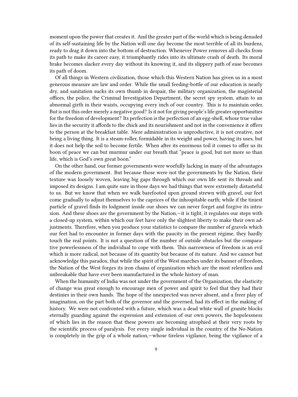moment upon the power that creates it. And the greater part of the world which is being denuded of its self-sustaining life by the Nation will one day become the most terrible of all its burdens, ready to drag it down into the bottom of destruction. Whenever Power removes all checks from its path to make its career easy, it triumphantly rides into its ultimate crash of death. Its moral brake becomes slacker every day without its knowing it, and its slippery path of ease becomes its path of doom.

Of all things in Western civilization, those which this Western Nation has given us in a most generous measure are law and order. While the small feeding-bottle of our education is nearly dry, and sanitation sucks its own thumb in despair, the military organization, the magisterial offices, the police, the Criminal Investigation Department, the secret spy system, attain to an abnormal girth in their waists, occupying every inch of our country. This is to maintain order. But is not this order merely a negative good? Is it not for giving people's life greater opportunities for the freedom of development? Its perfection is the perfection of an egg-shell, whose true value lies in the security it affords to the chick and its nourishment and not in the convenience it offers to the person at the breakfast table. Mere administration is unproductive, it is not creative, not being a living thing. It is a steam-roller, formidable in its weight and power, having its uses, but it does not help the soil to become fertile. When after its enormous toil it comes to offer us its boon of peace we can but murmur under our breath that "peace is good, but not more so than life, which is God's own great boon."

On the other hand, our former governments were woefully lacking in many of the advantages of the modern government. But because those were not the governments by the Nation, their texture was loosely woven, leaving big gaps through which our own life sent its threads and imposed its designs. I am quite sure in those days we had things that were extremely distasteful to us. But we know that when we walk barefooted upon ground strewn with gravel, our feet come gradually to adjust themselves to the caprices of the inhospitable earth; while if the tiniest particle of gravel finds its lodgment inside our shoes we can never forget and forgive its intrusion. And these shoes are the government by the Nation,—it is tight, it regulates our steps with a closed-up system, within which our feet have only the slightest liberty to make their own adjustments. Therefore, when you produce your statistics to compare the number of gravels which our feet had to encounter in former days with the paucity in the present régime, they hardly touch the real points. It is not a question of the number of outside obstacles but the comparative powerlessness of the individual to cope with them. This narrowness of freedom is an evil which is more radical, not because of its quantity but because of its nature. And we cannot but acknowledge this paradox, that while the spirit of the West marches under its banner of freedom, the Nation of the West forges its iron chains of organization which are the most relentless and unbreakable that have ever been manufactured in the whole history of man.

When the humanity of India was not under the government of the Organization, the elasticity of change was great enough to encourage men of power and spirit to feel that they had their destinies in their own hands. The hope of the unexpected was never absent, and a freer play of imagination, on the part both of the governor and the governed, had its effect in the making of history. We were not confronted with a future, which was a dead white wall of granite blocks eternally guarding against the expression and extension of our own powers, the hopelessness of which lies in the reason that these powers are becoming atrophied at their very roots by the scientific process of paralysis. For every single individual in the country of the No-Nation is completely in the grip of a whole nation,—whose tireless vigilance, being the vigilance of a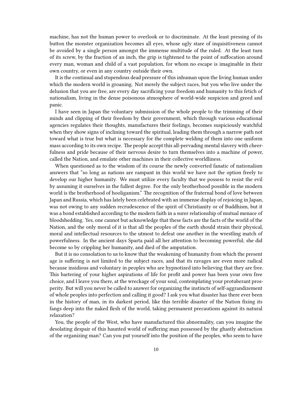machine, has not the human power to overlook or to discriminate. At the least pressing of its button the monster organization becomes all eyes, whose ugly stare of inquisitiveness cannot be avoided by a single person amongst the immense multitude of the ruled. At the least turn of its screw, by the fraction of an inch, the grip is tightened to the point of suffocation around every man, woman and child of a vast population, for whom no escape is imaginable in their own country, or even in any country outside their own.

It is the continual and stupendous dead pressure of this inhuman upon the living human under which the modern world is groaning. Not merely the subject races, but you who live under the delusion that you are free, are every day sacrificing your freedom and humanity to this fetich of nationalism, living in the dense poisonous atmosphere of world-wide suspicion and greed and panic.

I have seen in Japan the voluntary submission of the whole people to the trimming of their minds and clipping of their freedom by their government, which through various educational agencies regulates their thoughts, manufactures their feelings, becomes suspiciously watchful when they show signs of inclining toward the spiritual, leading them through a narrow path not toward what is true but what is necessary for the complete welding of them into one uniform mass according to its own recipe. The people accept this all-pervading mental slavery with cheerfulness and pride because of their nervous desire to turn themselves into a machine of power, called the Nation, and emulate other machines in their collective worldliness.

When questioned as to the wisdom of its course the newly converted fanatic of nationalism answers that "so long as nations are rampant in this world we have not the option freely to develop our higher humanity. We must utilize every faculty that we possess to resist the evil by assuming it ourselves in the fullest degree. For the only brotherhood possible in the modern world is the brotherhood of hooliganism." The recognition of the fraternal bond of love between Japan and Russia, which has lately been celebrated with an immense display of rejoicing in Japan, was not owing to any sudden recrudescence of the spirit of Christianity or of Buddhism, but it was a bond established according to the modern faith in a surer relationship of mutual menace of bloodshedding. Yes, one cannot but acknowledge that these facts are the facts of the world of the Nation, and the only moral of it is that all the peoples of the earth should strain their physical, moral and intellectual resources to the utmost to defeat one another in the wrestling match of powerfulness. In the ancient days Sparta paid all her attention to becoming powerful; she did become so by crippling her humanity, and died of the amputation.

But it is no consolation to us to know that the weakening of humanity from which the present age is suffering is not limited to the subject races, and that its ravages are even more radical because insidious and voluntary in peoples who are hypnotized into believing that they are free. This bartering of your higher aspirations of life for profit and power has been your own free choice, and I leave you there, at the wreckage of your soul, contemplating your protuberant prosperity. But will you never be called to answer for organizing the instincts of self-aggrandizement of whole peoples into perfection and calling it good? I ask you what disaster has there ever been in the history of man, in its darkest period, like this terrible disaster of the Nation fixing its fangs deep into the naked flesh of the world, taking permanent precautions against its natural relaxation?

You, the people of the West, who have manufactured this abnormality, can you imagine the desolating despair of this haunted world of suffering man possessed by the ghastly abstraction of the organizing man? Can you put yourself into the position of the peoples, who seem to have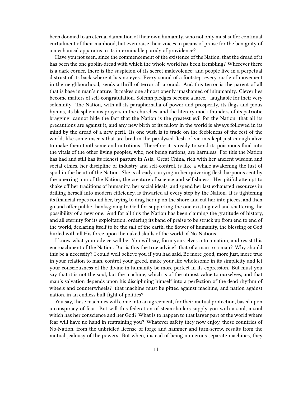been doomed to an eternal damnation of their own humanity, who not only must suffer continual curtailment of their manhood, but even raise their voices in pæans of praise for the benignity of a mechanical apparatus in its interminable parody of providence?

Have you not seen, since the commencement of the existence of the Nation, that the dread of it has been the one goblin-dread with which the whole world has been trembling? Wherever there is a dark corner, there is the suspicion of its secret malevolence; and people live in a perpetual distrust of its back where it has no eyes. Every sound of a footstep, every rustle of movement in the neighbourhood, sends a thrill of terror all around. And this terror is the parent of all that is base in man's nature. It makes one almost openly unashamed of inhumanity. Clever lies become matters of self-congratulation. Solemn pledges become a farce,—laughable for their very solemnity. The Nation, with all its paraphernalia of power and prosperity, its flags and pious hymns, its blasphemous prayers in the churches, and the literary mock thunders of its patriotic bragging, cannot hide the fact that the Nation is the greatest evil for the Nation, that all its precautions are against it, and any new birth of its fellow in the world is always followed in its mind by the dread of a new peril. Its one wish is to trade on the feebleness of the rest of the world, like some insects that are bred in the paralysed flesh of victims kept just enough alive to make them toothsome and nutritious. Therefore it is ready to send its poisonous fluid into the vitals of the other living peoples, who, not being nations, are harmless. For this the Nation has had and still has its richest pasture in Asia. Great China, rich with her ancient wisdom and social ethics, her discipline of industry and self-control, is like a whale awakening the lust of spoil in the heart of the Nation. She is already carrying in her quivering flesh harpoons sent by the unerring aim of the Nation, the creature of science and selfishness. Her pitiful attempt to shake off her traditions of humanity, her social ideals, and spend her last exhausted resources in drilling herself into modern efficiency, is thwarted at every step by the Nation. It is tightening its financial ropes round her, trying to drag her up on the shore and cut her into pieces, and then go and offer public thanksgiving to God for supporting the one existing evil and shattering the possibility of a new one. And for all this the Nation has been claiming the gratitude of history, and all eternity for its exploitation; ordering its band of praise to be struck up from end to end of the world, declaring itself to be the salt of the earth, the flower of humanity, the blessing of God hurled with all His force upon the naked skulls of the world of No-Nations.

I know what your advice will be. You will say, form yourselves into a nation, and resist this encroachment of the Nation. But is this the true advice? that of a man to a man? Why should this be a necessity? I could well believe you if you had said, Be more good, more just, more true in your relation to man, control your greed, make your life wholesome in its simplicity and let your consciousness of the divine in humanity be more perfect in its expression. But must you say that it is not the soul, but the machine, which is of the utmost value to ourselves, and that man's salvation depends upon his disciplining himself into a perfection of the dead rhythm of wheels and counterwheels? that machine must be pitted against machine, and nation against nation, in an endless bull-fight of politics?

You say, these machines will come into an agreement, for their mutual protection, based upon a conspiracy of fear. But will this federation of steam-boilers supply you with a soul, a soul which has her conscience and her God? What is to happen to that larger part of the world where fear will have no hand in restraining you? Whatever safety they now enjoy, those countries of No-Nation, from the unbridled license of forge and hammer and turn-screw, results from the mutual jealousy of the powers. But when, instead of being numerous separate machines, they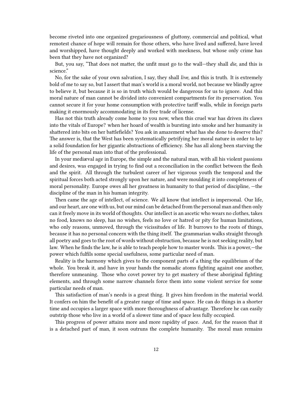become riveted into one organized gregariousness of gluttony, commercial and political, what remotest chance of hope will remain for those others, who have lived and suffered, have loved and worshipped, have thought deeply and worked with meekness, but whose only crime has been that they have not organized?

But, you say, "That does not matter, the unfit must go to the wall—they shall *die*, and this is science."

No, for the sake of your own salvation, I say, they shall *live*, and this is truth. It is extremely bold of me to say so, but I assert that man's world is a moral world, not because we blindly agree to believe it, but because it is so in truth which would be dangerous for us to ignore. And this moral nature of man cannot be divided into convenient compartments for its preservation. You cannot secure it for your home consumption with protective tariff walls, while in foreign parts making it enormously accommodating in its free trade of license.

Has not this truth already come home to you now, when this cruel war has driven its claws into the vitals of Europe? when her hoard of wealth is bursting into smoke and her humanity is shattered into bits on her battlefields? You ask in amazement what has she done to deserve this? The answer is, that the West has been systematically petrifying her moral nature in order to lay a solid foundation for her gigantic abstractions of efficiency. She has all along been starving the life of the personal man into that of the professional.

In your mediæval age in Europe, the simple and the natural man, with all his violent passions and desires, was engaged in trying to find out a reconciliation in the conflict between the flesh and the spirit. All through the turbulent career of her vigorous youth the temporal and the spiritual forces both acted strongly upon her nature, and were moulding it into completeness of moral personality. Europe owes all her greatness in humanity to that period of discipline, —the discipline of the man in his human integrity.

Then came the age of intellect, of science. We all know that intellect is impersonal. Our life, and our heart, are one with us, but our mind can be detached from the personal man and then only can it freely move in its world of thoughts. Our intellect is an ascetic who wears no clothes, takes no food, knows no sleep, has no wishes, feels no love or hatred or pity for human limitations, who only reasons, unmoved, through the vicissitudes of life. It burrows to the roots of things, because it has no personal concern with the thing itself. The grammarian walks straight through all poetry and goes to the root of words without obstruction, because he is not seeking reality, but law. When he finds the law, he is able to teach people how to master words. This is a power,—the power which fulfils some special usefulness, some particular need of man.

Reality is the harmony which gives to the component parts of a thing the equilibrium of the whole. You break it, and have in your hands the nomadic atoms fighting against one another, therefore unmeaning. Those who covet power try to get mastery of these aboriginal fighting elements, and through some narrow channels force them into some violent service for some particular needs of man.

This satisfaction of man's needs is a great thing. It gives him freedom in the material world. It confers on him the benefit of a greater range of time and space. He can do things in a shorter time and occupies a larger space with more thoroughness of advantage. Therefore he can easily outstrip those who live in a world of a slower time and of space less fully occupied.

This progress of power attains more and more rapidity of pace. And, for the reason that it is a detached part of man, it soon outruns the complete humanity. The moral man remains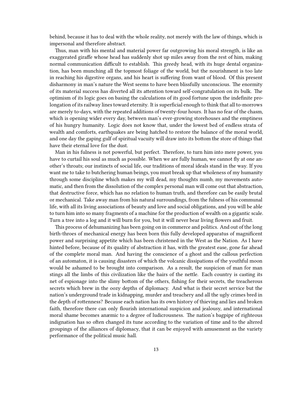behind, because it has to deal with the whole reality, not merely with the law of things, which is impersonal and therefore abstract.

Thus, man with his mental and material power far outgrowing his moral strength, is like an exaggerated giraffe whose head has suddenly shot up miles away from the rest of him, making normal communication difficult to establish. This greedy head, with its huge dental organization, has been munching all the topmost foliage of the world, but the nourishment is too late in reaching his digestive organs, and his heart is suffering from want of blood. Of this present disharmony in man's nature the West seems to have been blissfully unconscious. The enormity of its material success has diverted all its attention toward self-congratulation on its bulk. The optimism of its logic goes on basing the calculations of its good fortune upon the indefinite prolongation of its railway lines toward eternity. It is superficial enough to think that all to-morrows are merely to-days, with the repeated additions of twenty-four hours. It has no fear of the chasm, which is opening wider every day, between man's ever-growing storehouses and the emptiness of his hungry humanity. Logic does not know that, under the lowest bed of endless strata of wealth and comforts, earthquakes are being hatched to restore the balance of the moral world, and one day the gaping gulf of spiritual vacuity will draw into its bottom the store of things that have their eternal love for the dust.

Man in his fulness is not powerful, but perfect. Therefore, to turn him into mere power, you have to curtail his soul as much as possible. When we are fully human, we cannot fly at one another's throats; our instincts of social life, our traditions of moral ideals stand in the way. If you want me to take to butchering human beings, you must break up that wholeness of my humanity through some discipline which makes my will dead, my thoughts numb, my movements automatic, and then from the dissolution of the complex personal man will come out that abstraction, that destructive force, which has no relation to human truth, and therefore can be easily brutal or mechanical. Take away man from his natural surroundings, from the fulness of his communal life, with all its living associations of beauty and love and social obligations, and you will be able to turn him into so many fragments of a machine for the production of wealth on a gigantic scale. Turn a tree into a log and it will burn for you, but it will never bear living flowers and fruit.

This process of dehumanizing has been going on in commerce and politics. And out of the long birth-throes of mechanical energy has been born this fully developed apparatus of magnificent power and surprising appetite which has been christened in the West as the Nation. As I have hinted before, because of its quality of abstraction it has, with the greatest ease, gone far ahead of the complete moral man. And having the conscience of a ghost and the callous perfection of an automaton, it is causing disasters of which the volcanic dissipations of the youthful moon would be ashamed to be brought into comparison. As a result, the suspicion of man for man stings all the limbs of this civilization like the hairs of the nettle. Each country is casting its net of espionage into the slimy bottom of the others, fishing for their secrets, the treacherous secrets which brew in the oozy depths of diplomacy. And what is their secret service but the nation's underground trade in kidnapping, murder and treachery and all the ugly crimes bred in the depth of rottenness? Because each nation has its own history of thieving and lies and broken faith, therefore there can only flourish international suspicion and jealousy, and international moral shame becomes anæmic to a degree of ludicrousness. The nation's bagpipe of righteous indignation has so often changed its tune according to the variation of time and to the altered groupings of the alliances of diplomacy, that it can be enjoyed with amusement as the variety performance of the political music hall.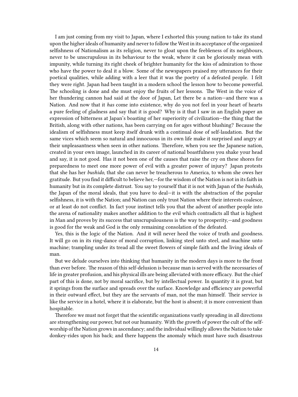I am just coming from my visit to Japan, where I exhorted this young nation to take its stand upon the higher ideals of humanity and never to follow the West in its acceptance of the organized selfishness of Nationalism as its religion, never to gloat upon the feebleness of its neighbours, never to be unscrupulous in its behaviour to the weak, where it can be gloriously mean with impunity, while turning its right cheek of brighter humanity for the kiss of admiration to those who have the power to deal it a blow. Some of the newspapers praised my utterances for their poetical qualities, while adding with a leer that it was the poetry of a defeated people. I felt they were right. Japan had been taught in a modern school the lesson how to become powerful. The schooling is done and she must enjoy the fruits of her lessons. The West in the voice of her thundering cannon had said at the door of Japan, Let there be a nation—and there was a Nation. And now that it *has* come into existence, why do you not feel in your heart of hearts a pure feeling of gladness and say that it is good? Why is it that I saw in an English paper an expression of bitterness at Japan's boasting of her superiority of civilization—the thing that the British, along with other nations, has been carrying on for ages without blushing? Because the idealism of selfishness must keep itself drunk with a continual dose of self-laudation. But the same vices which seem so natural and innocuous in its own life make it surprised and angry at their unpleasantness when seen in other nations. Therefore, when you see the Japanese nation, created in your own image, launched in its career of national boastfulness you shake your head and say, it is not good. Has it not been one of the causes that raise the cry on these shores for preparedness to meet one more power of evil with a greater power of injury? Japan protests that she has her *bushido*, that she can never be treacherous to America, to whom she owes her gratitude. But you find it difficult to believe her,—for the wisdom of the Nation is not in its faith in humanity but in its complete distrust. You say to yourself that it is not with Japan of the *bushido*, the Japan of the moral ideals, that you have to deal—it is with the abstraction of the popular selfishness, it is with the Nation; and Nation can only trust Nation where their interests coalesce, or at least do not conflict. In fact your instinct tells you that the advent of another people into the arena of nationality makes another addition to the evil which contradicts all that is highest in Man and proves by its success that unscrupulousness is the way to prosperity,—and goodness is good for the weak and God is the only remaining consolation of the defeated.

Yes, this is the logic of the Nation. And it will never heed the voice of truth and goodness. It will go on in its ring-dance of moral corruption, linking steel unto steel, and machine unto machine; trampling under its tread all the sweet flowers of simple faith and the living ideals of man.

But we delude ourselves into thinking that humanity in the modern days is more to the front than ever before. The reason of this self-delusion is because man is served with the necessaries of life in greater profusion, and his physical ills are being alleviated with more efficacy. But the chief part of this is done, not by moral sacrifice, but by intellectual power. In quantity it is great, but it springs from the surface and spreads over the surface. Knowledge and efficiency are powerful in their outward effect, but they are the servants of man, not the man himself. Their service is like the service in a hotel, where it is elaborate, but the host is absent; it is more convenient than hospitable.

Therefore we must not forget that the scientific organizations vastly spreading in all directions are strengthening our power, but not our humanity. With the growth of power the cult of the selfworship of the Nation grows in ascendancy; and the individual willingly allows the Nation to take donkey-rides upon his back; and there happens the anomaly which must have such disastrous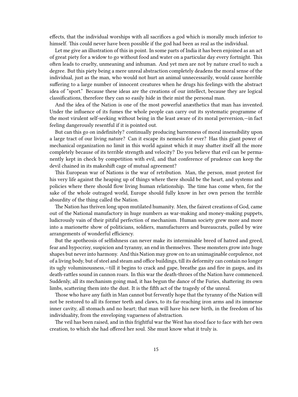effects, that the individual worships with all sacrifices a god which is morally much inferior to himself. This could never have been possible if the god had been as real as the individual.

Let me give an illustration of this in point. In some parts of India it has been enjoined as an act of great piety for a widow to go without food and water on a particular day every fortnight. This often leads to cruelty, unmeaning and inhuman. And yet men are not by nature cruel to such a degree. But this piety being a mere unreal abstraction completely deadens the moral sense of the individual, just as the man, who would not hurt an animal unnecessarily, would cause horrible suffering to a large number of innocent creatures when he drugs his feelings with the abstract idea of "sport." Because these ideas are the creations of our intellect, because they are logical classifications, therefore they can so easily hide in their mist the personal man.

And the idea of the Nation is one of the most powerful anæsthetics that man has invented. Under the influence of its fumes the whole people can carry out its systematic programme of the most virulent self-seeking without being in the least aware of its moral perversion,—in fact feeling dangerously resentful if it is pointed out.

But can this go on indefinitely? continually producing barrenness of moral insensibility upon a large tract of our living nature? Can it escape its nemesis for ever? Has this giant power of mechanical organization no limit in this world against which it may shatter itself all the more completely because of its terrible strength and velocity? Do you believe that evil can be permanently kept in check by competition with evil, and that conference of prudence can keep the devil chained in its makeshift cage of mutual agreement?

This European war of Nations is the war of retribution. Man, the person, must protest for his very life against the heaping up of things where there should be the heart, and systems and policies where there should flow living human relationship. The time has come when, for the sake of the whole outraged world, Europe should fully know in her own person the terrible absurdity of the thing called the Nation.

The Nation has thriven long upon mutilated humanity. Men, the fairest creations of God, came out of the National manufactory in huge numbers as war-making and money-making puppets, ludicrously vain of their pitiful perfection of mechanism. Human society grew more and more into a marionette show of politicians, soldiers, manufacturers and bureaucrats, pulled by wire arrangements of wonderful efficiency.

But the apotheosis of selfishness can never make its interminable breed of hatred and greed, fear and hypocrisy, suspicion and tyranny, an end in themselves. These monsters grow into huge shapes but never into harmony. And this Nation may grow on to an unimaginable corpulence, not of a living body, but of steel and steam and office buildings, till its deformity can contain no longer its ugly voluminousness,—till it begins to crack and gape, breathe gas and fire in gasps, and its death-rattles sound in cannon roars. In this war the death-throes of the Nation have commenced. Suddenly, all its mechanism going mad, it has begun the dance of the Furies, shattering its own limbs, scattering them into the dust. It is the fifth act of the tragedy of the unreal.

Those who have any faith in Man cannot but fervently hope that the tyranny of the Nation will not be restored to all its former teeth and claws, to its far-reaching iron arms and its immense inner cavity, all stomach and no heart; that man will have his new birth, in the freedom of his individuality, from the enveloping vagueness of abstraction.

The veil has been raised, and in this frightful war the West has stood face to face with her own creation, to which she had offered her soul. She must know what it truly is.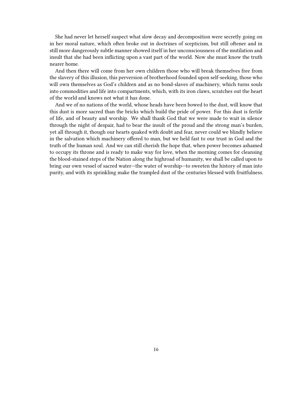She had never let herself suspect what slow decay and decomposition were secretly going on in her moral nature, which often broke out in doctrines of scepticism, but still oftener and in still more dangerously subtle manner showed itself in her unconsciousness of the mutilation and insult that she had been inflicting upon a vast part of the world. Now she must know the truth nearer home.

And then there will come from her own children those who will break themselves free from the slavery of this illusion, this perversion of brotherhood founded upon self-seeking, those who will own themselves as God's children and as no bond-slaves of machinery, which turns souls into commodities and life into compartments, which, with its iron claws, scratches out the heart of the world and knows not what it has done.

And we of no nations of the world, whose heads have been bowed to the dust, will know that this dust is more sacred than the bricks which build the pride of power. For this dust is fertile of life, and of beauty and worship. We shall thank God that we were made to wait in silence through the night of despair, had to bear the insult of the proud and the strong man's burden, yet all through it, though our hearts quaked with doubt and fear, never could we blindly believe in the salvation which machinery offered to man, but we held fast to our trust in God and the truth of the human soul. And we can still cherish the hope that, when power becomes ashamed to occupy its throne and is ready to make way for love, when the morning comes for cleansing the blood-stained steps of the Nation along the highroad of humanity, we shall be called upon to bring our own vessel of sacred water—the water of worship—to sweeten the history of man into purity, and with its sprinkling make the trampled dust of the centuries blessed with fruitfulness.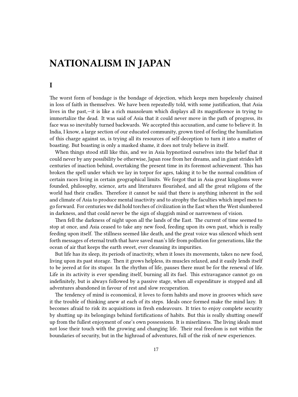## <span id="page-16-0"></span>**NATIONALISM IN JAPAN**

### <span id="page-16-1"></span>**I**

The worst form of bondage is the bondage of dejection, which keeps men hopelessly chained in loss of faith in themselves. We have been repeatedly told, with some justification, that Asia lives in the past,—it is like a rich mausoleum which displays all its magnificence in trying to immortalize the dead. It was said of Asia that it could never move in the path of progress, its face was so inevitably turned backwards. We accepted this accusation, and came to believe it. In India, I know, a large section of our educated community, grown tired of feeling the humiliation of this charge against us, is trying all its resources of self-deception to turn it into a matter of boasting. But boasting is only a masked shame, it does not truly believe in itself.

When things stood still like this, and we in Asia hypnotized ourselves into the belief that it could never by any possibility be otherwise, Japan rose from her dreams, and in giant strides left centuries of inaction behind, overtaking the present time in its foremost achievement. This has broken the spell under which we lay in torpor for ages, taking it to be the normal condition of certain races living in certain geographical limits. We forgot that in Asia great kingdoms were founded, philosophy, science, arts and literatures flourished, and all the great religions of the world had their cradles. Therefore it cannot be said that there is anything inherent in the soil and climate of Asia to produce mental inactivity and to atrophy the faculties which impel men to go forward. For centuries we did hold torches of civilization in the East when the West slumbered in darkness, and that could never be the sign of sluggish mind or narrowness of vision.

Then fell the darkness of night upon all the lands of the East. The current of time seemed to stop at once, and Asia ceased to take any new food, feeding upon its own past, which is really feeding upon itself. The stillness seemed like death, and the great voice was silenced which sent forth messages of eternal truth that have saved man's life from pollution for generations, like the ocean of air that keeps the earth sweet, ever cleansing its impurities.

But life has its sleep, its periods of inactivity, when it loses its movements, takes no new food, living upon its past storage. Then it grows helpless, its muscles relaxed, and it easily lends itself to be jeered at for its stupor. In the rhythm of life, pauses there must be for the renewal of life. Life in its activity is ever spending itself, burning all its fuel. This extravagance cannot go on indefinitely, but is always followed by a passive stage, when all expenditure is stopped and all adventures abandoned in favour of rest and slow recuperation.

The tendency of mind is economical, it loves to form habits and move in grooves which save it the trouble of thinking anew at each of its steps. Ideals once formed make the mind lazy. It becomes afraid to risk its acquisitions in fresh endeavours. It tries to enjoy complete security by shutting up its belongings behind fortifications of habits. But this is really shutting oneself up from the fullest enjoyment of one's own possessions. It is miserliness. The living ideals must not lose their touch with the growing and changing life. Their real freedom is not within the boundaries of security, but in the highroad of adventures, full of the risk of new experiences.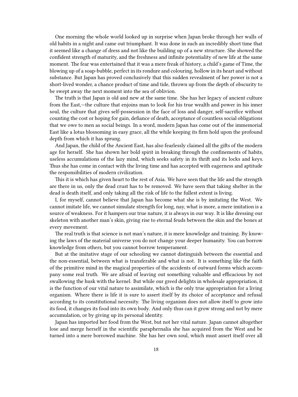One morning the whole world looked up in surprise when Japan broke through her walls of old habits in a night and came out triumphant. It was done in such an incredibly short time that it seemed like a change of dress and not like the building up of a new structure. She showed the confident strength of maturity, and the freshness and infinite potentiality of new life at the same moment. The fear was entertained that it was a mere freak of history, a child's game of Time, the blowing up of a soap-bubble, perfect in its rondure and colouring, hollow in its heart and without substance. But Japan has proved conclusively that this sudden revealment of her power is not a short-lived wonder, a chance product of time and tide, thrown up from the depth of obscurity to be swept away the next moment into the sea of oblivion.

The truth is that Japan is old and new at the same time. She has her legacy of ancient culture from the East,—the culture that enjoins man to look for his true wealth and power in his inner soul, the culture that gives self-possession in the face of loss and danger, self-sacrifice without counting the cost or hoping for gain, defiance of death, acceptance of countless social obligations that we owe to men as social beings. In a word, modern Japan has come out of the immemorial East like a lotus blossoming in easy grace, all the while keeping its firm hold upon the profound depth from which it has sprung.

And Japan, the child of the Ancient East, has also fearlessly claimed all the gifts of the modern age for herself. She has shown her bold spirit in breaking through the confinements of habits, useless accumulations of the lazy mind, which seeks safety in its thrift and its locks and keys. Thus she has come in contact with the living time and has accepted with eagerness and aptitude the responsibilities of modern civilization.

This it is which has given heart to the rest of Asia. We have seen that the life and the strength are there in us, only the dead crust has to be removed. We have seen that taking shelter in the dead is death itself, and only taking all the risk of life to the fullest extent is living.

I, for myself, cannot believe that Japan has become what she is by imitating the West. We cannot imitate life, we cannot simulate strength for long, nay, what is more, a mere imitation is a source of weakness. For it hampers our true nature, it is always in our way. It is like dressing our skeleton with another man's skin, giving rise to eternal feuds between the skin and the bones at every movement.

The real truth is that science is not man's nature, it is mere knowledge and training. By knowing the laws of the material universe you do not change your deeper humanity. You can borrow knowledge from others, but you cannot borrow temperament.

But at the imitative stage of our schooling we cannot distinguish between the essential and the non-essential, between what is transferable and what is not. It is something like the faith of the primitive mind in the magical properties of the accidents of outward forms which accompany some real truth. We are afraid of leaving out something valuable and efficacious by not swallowing the husk with the kernel. But while our greed delights in wholesale appropriation, it is the function of our vital nature to assimilate, which is the only true appropriation for a living organism. Where there is life it is sure to assert itself by its choice of acceptance and refusal according to its constitutional necessity. The living organism does not allow itself to grow into its food, it changes its food into its own body. And only thus can it grow strong and not by mere accumulation, or by giving up its personal identity.

Japan has imported her food from the West, but not her vital nature. Japan cannot altogether lose and merge herself in the scientific paraphernalia she has acquired from the West and be turned into a mere borrowed machine. She has her own soul, which must assert itself over all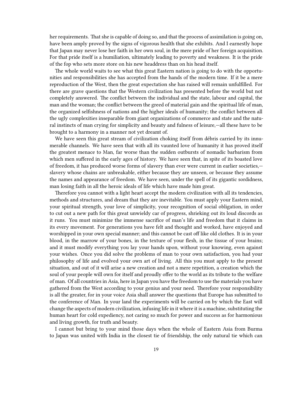her requirements. That she is capable of doing so, and that the process of assimilation is going on, have been amply proved by the signs of vigorous health that she exhibits. And I earnestly hope that Japan may never lose her faith in her own soul, in the mere pride of her foreign acquisition. For that pride itself is a humiliation, ultimately leading to poverty and weakness. It is the pride of the fop who sets more store on his new headdress than on his head itself.

The whole world waits to see what this great Eastern nation is going to do with the opportunities and responsibilities she has accepted from the hands of the modern time. If it be a mere reproduction of the West, then the great expectation she has raised will remain unfulfilled. For there are grave questions that the Western civilization has presented before the world but not completely answered. The conflict between the individual and the state, labour and capital, the man and the woman; the conflict between the greed of material gain and the spiritual life of man, the organized selfishness of nations and the higher ideals of humanity; the conflict between all the ugly complexities inseparable from giant organizations of commerce and state and the natural instincts of man crying for simplicity and beauty and fulness of leisure,—all these have to be brought to a harmony in a manner not yet dreamt of.

We have seen this great stream of civilization choking itself from débris carried by its innumerable channels. We have seen that with all its vaunted love of humanity it has proved itself the greatest menace to Man, far worse than the sudden outbursts of nomadic barbarism from which men suffered in the early ages of history. We have seen that, in spite of its boasted love of freedom, it has produced worse forms of slavery than ever were current in earlier societies, slavery whose chains are unbreakable, either because they are unseen, or because they assume the names and appearance of freedom. We have seen, under the spell of its gigantic sordidness, man losing faith in all the heroic ideals of life which have made him great.

Therefore you cannot with a light heart accept the modern civilization with all its tendencies, methods and structures, and dream that they are inevitable. You must apply your Eastern mind, your spiritual strength, your love of simplicity, your recognition of social obligation, in order to cut out a new path for this great unwieldy car of progress, shrieking out its loud discords as it runs. You must minimize the immense sacrifice of man's life and freedom that it claims in its every movement. For generations you have felt and thought and worked, have enjoyed and worshipped in your own special manner; and this cannot be cast off like old clothes. It is in your blood, in the marrow of your bones, in the texture of your flesh, in the tissue of your brains; and it must modify everything you lay your hands upon, without your knowing, even against your wishes. Once you did solve the problems of man to your own satisfaction, you had your philosophy of life and evolved your own art of living. All this you must apply to the present situation, and out of it will arise a new creation and not a mere repetition, a creation which the soul of your people will own for itself and proudly offer to the world as its tribute to the welfare of man. Of all countries in Asia, here in Japan you have the freedom to use the materials you have gathered from the West according to your genius and your need. Therefore your responsibility is all the greater, for in your voice Asia shall answer the questions that Europe has submitted to the conference of Man. In your land the experiments will be carried on by which the East will change the aspects of modern civilization, infusing life in it where it is a machine, substituting the human heart for cold expediency, not caring so much for power and success as for harmonious and living growth, for truth and beauty.

I cannot but bring to your mind those days when the whole of Eastern Asia from Burma to Japan was united with India in the closest tie of friendship, the only natural tie which can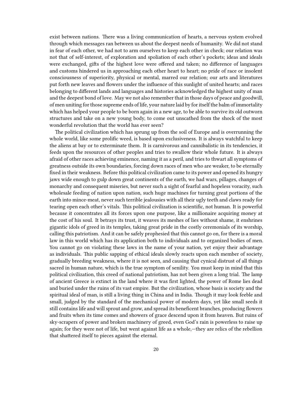exist between nations. There was a living communication of hearts, a nervous system evolved through which messages ran between us about the deepest needs of humanity. We did not stand in fear of each other, we had not to arm ourselves to keep each other in check; our relation was not that of self-interest, of exploration and spoliation of each other's pockets; ideas and ideals were exchanged, gifts of the highest love were offered and taken; no difference of languages and customs hindered us in approaching each other heart to heart; no pride of race or insolent consciousness of superiority, physical or mental, marred our relation; our arts and literatures put forth new leaves and flowers under the influence of this sunlight of united hearts; and races belonging to different lands and languages and histories acknowledged the highest unity of man and the deepest bond of love. May we not also remember that in those days of peace and goodwill, of men uniting for those supreme ends of life, your nature laid by for itself the balm of immortality which has helped your people to be born again in a new age, to be able to survive its old outworn structures and take on a new young body, to come out unscathed from the shock of the most wonderful revolution that the world has ever seen?

The political civilization which has sprung up from the soil of Europe and is overrunning the whole world, like some prolific weed, is based upon exclusiveness. It is always watchful to keep the aliens at bay or to exterminate them. It is carnivorous and cannibalistic in its tendencies, it feeds upon the resources of other peoples and tries to swallow their whole future. It is always afraid of other races achieving eminence, naming it as a peril, and tries to thwart all symptoms of greatness outside its own boundaries, forcing down races of men who are weaker, to be eternally fixed in their weakness. Before this political civilization came to its power and opened its hungry jaws wide enough to gulp down great continents of the earth, we had wars, pillages, changes of monarchy and consequent miseries, but never such a sight of fearful and hopeless voracity, such wholesale feeding of nation upon nation, such huge machines for turning great portions of the earth into mince-meat, never such terrible jealousies with all their ugly teeth and claws ready for tearing open each other's vitals. This political civilization is scientific, not human. It is powerful because it concentrates all its forces upon one purpose, like a millionaire acquiring money at the cost of his soul. It betrays its trust, it weaves its meshes of lies without shame, it enshrines gigantic idols of greed in its temples, taking great pride in the costly ceremonials of its worship, calling this patriotism. And it can be safely prophesied that this cannot go on, for there is a moral law in this world which has its application both to individuals and to organized bodies of men. You cannot go on violating these laws in the name of your nation, yet enjoy their advantage as individuals. This public sapping of ethical ideals slowly reacts upon each member of society, gradually breeding weakness, where it is not seen, and causing that cynical distrust of all things sacred in human nature, which is the true symptom of senility. You must keep in mind that this political civilization, this creed of national patriotism, has not been given a long trial. The lamp of ancient Greece is extinct in the land where it was first lighted, the power of Rome lies dead and buried under the ruins of its vast empire. But the civilization, whose basis is society and the spiritual ideal of man, is still a living thing in China and in India. Though it may look feeble and small, judged by the standard of the mechanical power of modern days, yet like small seeds it still contains life and will sprout and grow, and spread its beneficent branches, producing flowers and fruits when its time comes and showers of grace descend upon it from heaven. But ruins of sky-scrapers of power and broken machinery of greed, even God's rain is powerless to raise up again; for they were not of life, but went against life as a whole,—they are relics of the rebellion that shattered itself to pieces against the eternal.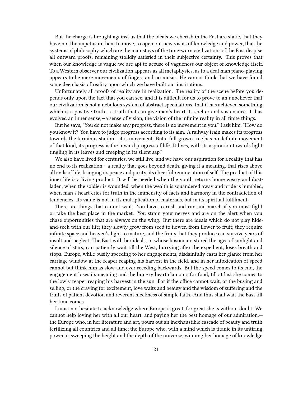But the charge is brought against us that the ideals we cherish in the East are static, that they have not the impetus in them to move, to open out new vistas of knowledge and power, that the systems of philosophy which are the mainstays of the time-worn civilizations of the East despise all outward proofs, remaining stolidly satisfied in their subjective certainty. This proves that when our knowledge is vague we are apt to accuse of vagueness our object of knowledge itself. To a Western observer our civilization appears as all metaphysics, as to a deaf man piano-playing appears to be mere movements of fingers and no music. He cannot think that we have found some deep basis of reality upon which we have built our institutions.

Unfortunately all proofs of reality are in realization. The reality of the scene before you depends only upon the fact that you can see, and it is difficult for us to prove to an unbeliever that our civilization is not a nebulous system of abstract speculations, that it has achieved something which is a positive truth,—a truth that can give man's heart its shelter and sustenance. It has evolved an inner sense,—a sense of vision, the vision of the infinite reality in all finite things.

But he says, "You do not make any progress, there is no movement in you." I ask him, "How do you know it? You have to judge progress according to its aim. A railway train makes its progress towards the terminus station,—it is movement. But a full-grown tree has no definite movement of that kind, its progress is the inward progress of life. It lives, with its aspiration towards light tingling in its leaves and creeping in its silent sap."

We also have lived for centuries, we still live, and we have our aspiration for a reality that has no end to its realization,—a reality that goes beyond death, giving it a meaning, that rises above all evils of life, bringing its peace and purity, its cheerful renunciation of self. The product of this inner life is a living product. It will be needed when the youth returns home weary and dustladen, when the soldier is wounded, when the wealth is squandered away and pride is humbled, when man's heart cries for truth in the immensity of facts and harmony in the contradiction of tendencies. Its value is not in its multiplication of materials, but in its spiritual fulfilment.

There are things that cannot wait. You have to rush and run and march if you must fight or take the best place in the market. You strain your nerves and are on the alert when you chase opportunities that are always on the wing. But there are ideals which do not play hideand-seek with our life; they slowly grow from seed to flower, from flower to fruit; they require infinite space and heaven's light to mature, and the fruits that they produce can survive years of insult and neglect. The East with her ideals, in whose bosom are stored the ages of sunlight and silence of stars, can patiently wait till the West, hurrying after the expedient, loses breath and stops. Europe, while busily speeding to her engagements, disdainfully casts her glance from her carriage window at the reaper reaping his harvest in the field, and in her intoxication of speed cannot but think him as slow and ever receding backwards. But the speed comes to its end, the engagement loses its meaning and the hungry heart clamours for food, till at last she comes to the lowly reaper reaping his harvest in the sun. For if the office cannot wait, or the buying and selling, or the craving for excitement, love waits and beauty and the wisdom of suffering and the fruits of patient devotion and reverent meekness of simple faith. And thus shall wait the East till her time comes.

I must not hesitate to acknowledge where Europe is great, for great she is without doubt. We cannot help loving her with all our heart, and paying her the best homage of our admiration, the Europe who, in her literature and art, pours out an inexhaustible cascade of beauty and truth fertilizing all countries and all time; the Europe who, with a mind which is titanic in its untiring power, is sweeping the height and the depth of the universe, winning her homage of knowledge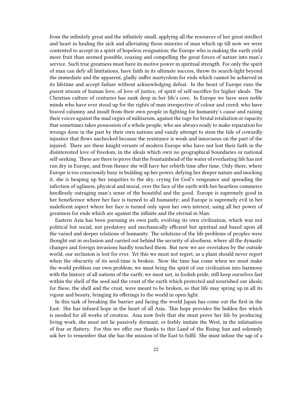from the infinitely great and the infinitely small, applying all the resources of her great intellect and heart in healing the sick and alleviating those miseries of man which up till now we were contented to accept in a spirit of hopeless resignation; the Europe who is making the earth yield more fruit than seemed possible, coaxing and compelling the great forces of nature into man's service. Such true greatness must have its motive power in spiritual strength. For only the spirit of man can defy all limitations, have faith in its ultimate success, throw its search-light beyond the immediate and the apparent, gladly suffer martyrdom for ends which cannot be achieved in its lifetime and accept failure without acknowledging defeat. In the heart of Europe runs the purest stream of human love, of love of justice, of spirit of self-sacrifice for higher ideals. The Christian culture of centuries has sunk deep in her life's core. In Europe we have seen noble minds who have ever stood up for the rights of man irrespective of colour and creed; who have braved calumny and insult from their own people in fighting for humanity's cause and raising their voices against the mad orgies of militarism, against the rage for brutal retaliation or rapacity that sometimes takes possession of a whole people; who are always ready to make reparation for wrongs done in the past by their own nations and vainly attempt to stem the tide of cowardly injustice that flows unchecked because the resistance is weak and innocuous on the part of the injured. There are these knight-errants of modern Europe who have not lost their faith in the disinterested love of freedom, in the ideals which own no geographical boundaries or national self-seeking. These are there to prove that the fountainhead of the water of everlasting life has not run dry in Europe, and from thence she will have her rebirth time after time. Only there, where Europe is too consciously busy in building up her power, defying her deeper nature and mocking it, she is heaping up her iniquities to the sky, crying for God's vengeance and spreading the infection of ugliness, physical and moral, over the face of the earth with her heartless commerce heedlessly outraging man's sense of the beautiful and the good. Europe is supremely good in her beneficence where her face is turned to all humanity; and Europe is supremely evil in her maleficent aspect where her face is turned only upon her own interest, using all her power of greatness for ends which are against the infinite and the eternal in Man.

Eastern Asia has been pursuing its own path, evolving its own civilization, which was not political but social, not predatory and mechanically efficient but spiritual and based upon all the varied and deeper relations of humanity. The solutions of the life problems of peoples were thought out in seclusion and carried out behind the security of aloofness, where all the dynastic changes and foreign invasions hardly touched them. But now we are overtaken by the outside world, our seclusion is lost for ever. Yet this we must not regret, as a plant should never regret when the obscurity of its seed-time is broken. Now the time has come when we must make the world problem our own problem; we must bring the spirit of our civilization into harmony with the history of all nations of the earth; we must not, in foolish pride, still keep ourselves fast within the shell of the seed and the crust of the earth which protected and nourished our ideals; for these, the shell and the crust, were meant to be broken, so that life may spring up in all its vigour and beauty, bringing its offerings to the world in open light.

In this task of breaking the barrier and facing the world Japan has come out the first in the East. She has infused hope in the heart of all Asia. This hope provides the hidden fire which is needed for all works of creation. Asia now feels that she must prove her life by producing living work, she must not lie passively dormant, or feebly imitate the West, in the infatuation of fear or flattery. For this we offer our thanks to this Land of the Rising Sun and solemnly ask her to remember that she has the mission of the East to fulfil. She must infuse the sap of a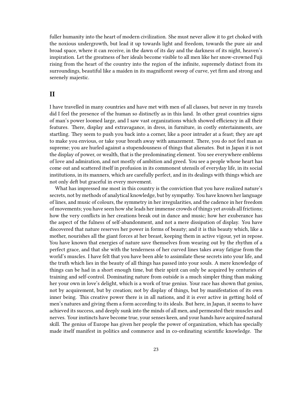fuller humanity into the heart of modern civilization. She must never allow it to get choked with the noxious undergrowth, but lead it up towards light and freedom, towards the pure air and broad space, where it can receive, in the dawn of its day and the darkness of its night, heaven's inspiration. Let the greatness of her ideals become visible to all men like her snow-crowned Fuji rising from the heart of the country into the region of the infinite, supremely distinct from its surroundings, beautiful like a maiden in its magnificent sweep of curve, yet firm and strong and serenely majestic.

#### <span id="page-22-0"></span>**II**

I have travelled in many countries and have met with men of all classes, but never in my travels did I feel the presence of the human so distinctly as in this land. In other great countries signs of man's power loomed large, and I saw vast organizations which showed efficiency in all their features. There, display and extravagance, in dress, in furniture, in costly entertainments, are startling. They seem to push you back into a corner, like a poor intruder at a feast; they are apt to make you envious, or take your breath away with amazement. There, you do not feel man as supreme; you are hurled against a stupendousness of things that alienates. But in Japan it is not the display of power, or wealth, that is the predominating element. You see everywhere emblems of love and admiration, and not mostly of ambition and greed. You see a people whose heart has come out and scattered itself in profusion in its commonest utensils of everyday life, in its social institutions, in its manners, which are carefully perfect, and in its dealings with things which are not only deft but graceful in every movement.

What has impressed me most in this country is the conviction that you have realized nature's secrets, not by methods of analytical knowledge, but by sympathy. You have known her language of lines, and music of colours, the symmetry in her irregularities, and the cadence in her freedom of movements; you have seen how she leads her immense crowds of things yet avoids all frictions; how the very conflicts in her creations break out in dance and music; how her exuberance has the aspect of the fulness of self-abandonment, and not a mere dissipation of display. You have discovered that nature reserves her power in forms of beauty; and it is this beauty which, like a mother, nourishes all the giant forces at her breast, keeping them in active vigour, yet in repose. You have known that energies of nature save themselves from wearing out by the rhythm of a perfect grace, and that she with the tenderness of her curved lines takes away fatigue from the world's muscles. I have felt that you have been able to assimilate these secrets into your life, and the truth which lies in the beauty of all things has passed into your souls. A mere knowledge of things can be had in a short enough time, but their spirit can only be acquired by centuries of training and self-control. Dominating nature from outside is a much simpler thing than making her your own in love's delight, which is a work of true genius. Your race has shown that genius, not by acquirement, but by creation; not by display of things, but by manifestation of its own inner being. This creative power there is in all nations, and it is ever active in getting hold of men's natures and giving them a form according to its ideals. But here, in Japan, it seems to have achieved its success, and deeply sunk into the minds of all men, and permeated their muscles and nerves. Your instincts have become true, your senses keen, and your hands have acquired natural skill. The genius of Europe has given her people the power of organization, which has specially made itself manifest in politics and commerce and in co-ordinating scientific knowledge. The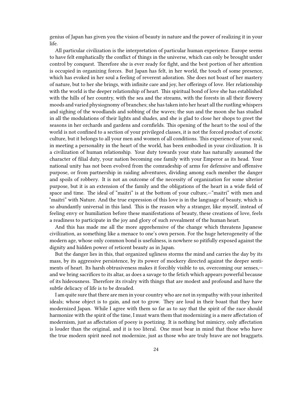genius of Japan has given you the vision of beauty in nature and the power of realizing it in your life.

All particular civilization is the interpretation of particular human experience. Europe seems to have felt emphatically the conflict of things in the universe, which can only be brought under control by conquest. Therefore she is ever ready for fight, and the best portion of her attention is occupied in organizing forces. But Japan has felt, in her world, the touch of some presence, which has evoked in her soul a feeling of reverent adoration. She does not boast of her mastery of nature, but to her she brings, with infinite care and joy, her offerings of love. Her relationship with the world is the deeper relationship of heart. This spiritual bond of love she has established with the hills of her country, with the sea and the streams, with the forests in all their flowery moods and varied physiognomy of branches; she has taken into her heart all the rustling whispers and sighing of the woodlands and sobbing of the waves; the sun and the moon she has studied in all the modulations of their lights and shades, and she is glad to close her shops to greet the seasons in her orchards and gardens and cornfields. This opening of the heart to the soul of the world is not confined to a section of your privileged classes, it is not the forced product of exotic culture, but it belongs to all your men and women of all conditions. This experience of your soul, in meeting a personality in the heart of the world, has been embodied in your civilization. It is a civilization of human relationship. Your duty towards your state has naturally assumed the character of filial duty, your nation becoming one family with your Emperor as its head. Your national unity has not been evolved from the comradeship of arms for defensive and offensive purpose, or from partnership in raiding adventures, dividing among each member the danger and spoils of robbery. It is not an outcome of the necessity of organization for some ulterior purpose, but it is an extension of the family and the obligations of the heart in a wide field of space and time. The ideal of "maitri" is at the bottom of your culture,—"maitri" with men and "maitri" with Nature. And the true expression of this love is in the language of beauty, which is so abundantly universal in this land. This is the reason why a stranger, like myself, instead of feeling envy or humiliation before these manifestations of beauty, these creations of love, feels a readiness to participate in the joy and glory of such revealment of the human heart.

And this has made me all the more apprehensive of the change which threatens Japanese civilization, as something like a menace to one's own person. For the huge heterogeneity of the modern age, whose only common bond is usefulness, is nowhere so pitifully exposed against the dignity and hidden power of reticent beauty as in Japan.

But the danger lies in this, that organized ugliness storms the mind and carries the day by its mass, by its aggressive persistence, by its power of mockery directed against the deeper sentiments of heart. Its harsh obtrusiveness makes it forcibly visible to us, overcoming our senses, and we bring sacrifices to its altar, as does a savage to the fetich which appears powerful because of its hideousness. Therefore its rivalry with things that are modest and profound and have the subtle delicacy of life is to be dreaded.

I am quite sure that there are men in your country who are not in sympathy with your inherited ideals; whose object is to gain, and not to grow. They are loud in their boast that they have modernized Japan. While I agree with them so far as to say that the spirit of the race should harmonize with the spirit of the time, I must warn them that modernizing is a mere affectation of modernism, just as affectation of poesy is poetizing. It is nothing but mimicry, only affectation is louder than the original, and it is too literal. One must bear in mind that those who have the true modern spirit need not modernize, just as those who are truly brave are not braggarts.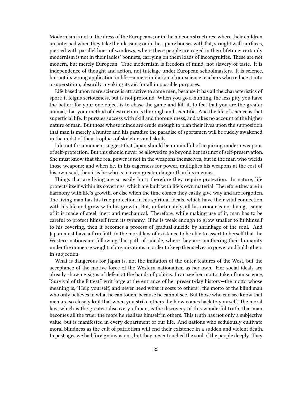Modernism is not in the dress of the Europeans; or in the hideous structures, where their children are interned when they take their lessons; or in the square houses with flat, straight wall-surfaces, pierced with parallel lines of windows, where these people are caged in their lifetime; certainly modernism is not in their ladies' bonnets, carrying on them loads of incongruities. These are not modern, but merely European. True modernism is freedom of mind, not slavery of taste. It is independence of thought and action, not tutelage under European schoolmasters. It is science, but not its wrong application in life,—a mere imitation of our science teachers who reduce it into a superstition, absurdly invoking its aid for all impossible purposes.

Life based upon mere science is attractive to some men, because it has all the characteristics of sport; it feigns seriousness, but is not profound. When you go a-hunting, the less pity you have the better; for your one object is to chase the game and kill it, to feel that you are the greater animal, that your method of destruction is thorough and scientific. And the life of science is that superficial life. It pursues success with skill and thoroughness, and takes no account of the higher nature of man. But those whose minds are crude enough to plan their lives upon the supposition that man is merely a hunter and his paradise the paradise of sportsmen will be rudely awakened in the midst of their trophies of skeletons and skulls.

I do not for a moment suggest that Japan should be unmindful of acquiring modern weapons of self-protection. But this should never be allowed to go beyond her instinct of self-preservation. She must know that the real power is not in the weapons themselves, but in the man who wields those weapons; and when he, in his eagerness for power, multiplies his weapons at the cost of his own soul, then it is he who is in even greater danger than his enemies.

Things that are living are so easily hurt; therefore they require protection. In nature, life protects itself within its coverings, which are built with life's own material. Therefore they are in harmony with life's growth, or else when the time comes they easily give way and are forgotten. The living man has his true protection in his spiritual ideals, which have their vital connection with his life and grow with his growth. But, unfortunately, all his armour is not living,—some of it is made of steel, inert and mechanical. Therefore, while making use of it, man has to be careful to protect himself from its tyranny. If he is weak enough to grow smaller to fit himself to his covering, then it becomes a process of gradual suicide by shrinkage of the soul. And Japan must have a firm faith in the moral law of existence to be able to assert to herself that the Western nations are following that path of suicide, where they are smothering their humanity under the immense weight of organizations in order to keep themselves in power and hold others in subjection.

What is dangerous for Japan is, not the imitation of the outer features of the West, but the acceptance of the motive force of the Western nationalism as her own. Her social ideals are already showing signs of defeat at the hands of politics. I can see her motto, taken from science, "Survival of the Fittest," writ large at the entrance of her present-day history—the motto whose meaning is, "Help yourself, and never heed what it costs to others"; the motto of the blind man who only believes in what he can touch, because he cannot see. But those who can see know that men are so closely knit that when you strike others the blow comes back to yourself. The moral law, which is the greatest discovery of man, is the discovery of this wonderful truth, that man becomes all the truer the more he realizes himself in others. This truth has not only a subjective value, but is manifested in every department of our life. And nations who sedulously cultivate moral blindness as the cult of patriotism will end their existence in a sudden and violent death. In past ages we had foreign invasions, but they never touched the soul of the people deeply. They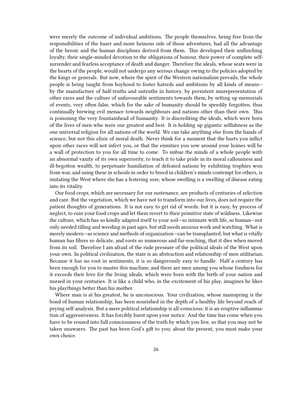were merely the outcome of individual ambitions. The people themselves, being free from the responsibilities of the baser and more heinous side of those adventures, had all the advantage of the heroic and the human disciplines derived from them. This developed their unflinching loyalty, their single-minded devotion to the obligations of honour, their power of complete selfsurrender and fearless acceptance of death and danger. Therefore the ideals, whose seats were in the hearts of the people, would not undergo any serious change owing to the policies adopted by the kings or generals. But now, where the spirit of the Western nationalism prevails, the whole people is being taught from boyhood to foster hatreds and ambitions by all kinds of means by the manufacture of half-truths and untruths in history, by persistent misrepresentation of other races and the culture of unfavourable sentiments towards them, by setting up memorials of events, very often false, which for the sake of humanity should be speedily forgotten, thus continually brewing evil menace towards neighbours and nations other than their own. This is poisoning the very fountainhead of humanity. It is discrediting the ideals, which were born of the lives of men who were our greatest and best. It is holding up gigantic selfishness as the one universal religion for all nations of the world. We can take anything else from the hands of science, but not this elixir of moral death. Never think for a moment that the hurts you inflict upon other races will not infect you, or that the enmities you sow around your homes will be a wall of protection to you for all time to come. To imbue the minds of a whole people with an abnormal vanity of its own superiority, to teach it to take pride in its moral callousness and ill-begotten wealth, to perpetuate humiliation of defeated nations by exhibiting trophies won from war, and using these in schools in order to breed in children's minds contempt for others, is imitating the West where she has a festering sore, whose swelling is a swelling of disease eating into its vitality.

Our food crops, which are necessary for our sustenance, are products of centuries of selection and care. But the vegetation, which we have not to transform into our lives, does not require the patient thoughts of generations. It is not easy to get rid of weeds; but it is easy, by process of neglect, to ruin your food crops and let them revert to their primitive state of wildness. Likewise the culture, which has so kindly adapted itself to your soil—so intimate with life, so human—not only needed tilling and weeding in past ages, but still needs anxious work and watching. What is merely modern—as science and methods of organization—can be transplanted; but what is vitally human has fibres so delicate, and roots so numerous and far-reaching, that it dies when moved from its soil. Therefore I am afraid of the rude pressure of the political ideals of the West upon your own. In political civilization, the state is an abstraction and relationship of men utilitarian. Because it has no root in sentiments, it is so dangerously easy to handle. Half a century has been enough for you to master this machine; and there are men among you whose fondness for it exceeds their love for the living ideals, which were born with the birth of your nation and nursed in your centuries. It is like a child who, in the excitement of his play, imagines he likes his playthings better than his mother.

Where man is at his greatest, he is unconscious. Your civilization, whose mainspring is the bond of human relationship, has been nourished in the depth of a healthy life beyond reach of prying self-analysis. But a mere political relationship is all-conscious; it is an eruptive inflammation of aggressiveness. It has forcibly burst upon your notice. And the time has come when you have to be roused into full consciousness of the truth by which you live, so that you may not be taken unawares. The past has been God's gift to you; about the present, you must make your own choice.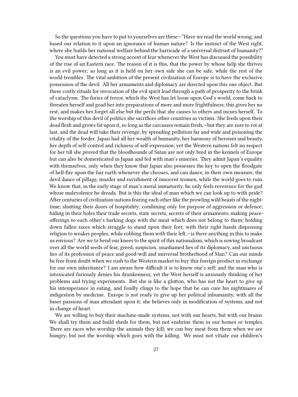So the questions you have to put to yourselves are these—"Have we read the world wrong, and based our relation to it upon an ignorance of human nature? Is the instinct of the West right, where she builds her national welfare behind the barricade of a universal distrust of humanity?"

You must have detected a strong accent of fear whenever the West has discussed the possibility of the rise of an Eastern race. The reason of it is this, that the power by whose help she thrives is an evil power; so long as it is held on her own side she can be safe, while the rest of the world trembles. The vital ambition of the present civilization of Europe is to have the exclusive possession of the devil. All her armaments and diplomacy are directed upon this one object. But these costly rituals for invocation of the evil spirit lead through a path of prosperity to the brink of cataclysm. The furies of terror, which the West has let loose upon God's world, come back to threaten herself and goad her into preparations of more and more frightfulness; this gives her no rest, and makes her forget all else but the perils that she causes to others and incurs herself. To the worship of this devil of politics she sacrifices other countries as victims. She feeds upon their dead flesh and grows fat upon it, so long as the carcasses remain fresh,—but they are sure to rot at last, and the dead will take their revenge, by spreading pollution far and wide and poisoning the vitality of the feeder. Japan had all her wealth of humanity, her harmony of heroism and beauty, her depth of self-control and richness of self-expression; yet the Western nations felt no respect for her till she proved that the bloodhounds of Satan are not only bred in the kennels of Europe but can also be domesticated in Japan and fed with man's miseries. They admit Japan's equality with themselves, only when they know that Japan also possesses the key to open the floodgate of hell-fire upon the fair earth whenever she chooses, and can dance, in their own measure, the devil dance of pillage, murder and ravishment of innocent women, while the world goes to ruin. We know that, in the early stage of man's moral immaturity, he only feels reverence for the god whose malevolence he dreads. But is this the ideal of man which we can look up to with pride? After centuries of civilization nations fearing each other like the prowling wild beasts of the nighttime; shutting their doors of hospitality; combining only for purpose of aggression or defence; hiding in their holes their trade secrets, state secrets, secrets of their armaments; making peaceofferings to each other's barking dogs with the meat which does not belong to them; holding down fallen races which struggle to stand upon their feet; with their right hands dispensing religion to weaker peoples, while robbing them with their left,—is there anything in this to make us envious? Are we to bend our knees to the spirit of this nationalism, which is sowing broadcast over all the world seeds of fear, greed, suspicion, unashamed lies of its diplomacy, and unctuous lies of its profession of peace and good-will and universal brotherhood of Man? Can our minds be free from doubt when we rush to the Western market to buy this foreign product in exchange for our own inheritance? I am aware how difficult it is to know one's self; and the man who is intoxicated furiously denies his drunkenness; yet the West herself is anxiously thinking of her problems and trying experiments. But she is like a glutton, who has not the heart to give up his intemperance in eating, and fondly clings to the hope that he can cure his nightmares of indigestion by medicine. Europe is not ready to give up her political inhumanity, with all the baser passions of man attendant upon it; she believes only in modification of systems, and not in change of heart.

We are willing to buy their machine-made systems, not with our hearts, but with our brains. We shall try them and build sheds for them, but not enshrine them in our homes or temples. There are races who worship the animals they kill; we can buy meat from them when we are hungry, but not the worship which goes with the killing. We must not vitiate our children's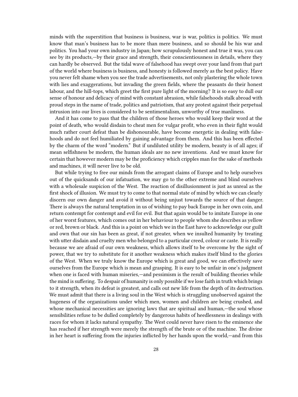minds with the superstition that business is business, war is war, politics is politics. We must know that man's business has to be more than mere business, and so should be his war and politics. You had your own industry in Japan; how scrupulously honest and true it was, you can see by its products,—by their grace and strength, their conscientiousness in details, where they can hardly be observed. But the tidal wave of falsehood has swept over your land from that part of the world where business is business, and honesty is followed merely as the best policy. Have you never felt shame when you see the trade advertisements, not only plastering the whole town with lies and exaggerations, but invading the green fields, where the peasants do their honest labour, and the hill-tops, which greet the first pure light of the morning? It is so easy to dull our sense of honour and delicacy of mind with constant abrasion, while falsehoods stalk abroad with proud steps in the name of trade, politics and patriotism, that any protest against their perpetual intrusion into our lives is considered to be sentimentalism, unworthy of true manliness.

And it has come to pass that the children of those heroes who would keep their word at the point of death, who would disdain to cheat men for vulgar profit, who even in their fight would much rather court defeat than be dishonourable, have become energetic in dealing with falsehoods and do not feel humiliated by gaining advantage from them. And this has been effected by the charm of the word "modern." But if undiluted utility be modern, beauty is of all ages; if mean selfishness be modern, the human ideals are no new inventions. And we must know for certain that however modern may be the proficiency which cripples man for the sake of methods and machines, it will never live to be old.

But while trying to free our minds from the arrogant claims of Europe and to help ourselves out of the quicksands of our infatuation, we may go to the other extreme and blind ourselves with a wholesale suspicion of the West. The reaction of disillusionment is just as unreal as the first shock of illusion. We must try to come to that normal state of mind by which we can clearly discern our own danger and avoid it without being unjust towards the source of that danger. There is always the natural temptation in us of wishing to pay back Europe in her own coin, and return contempt for contempt and evil for evil. But that again would be to imitate Europe in one of her worst features, which comes out in her behaviour to people whom she describes as yellow or red, brown or black. And this is a point on which we in the East have to acknowledge our guilt and own that our sin has been as great, if not greater, when we insulted humanity by treating with utter disdain and cruelty men who belonged to a particular creed, colour or caste. It is really because we are afraid of our own weakness, which allows itself to be overcome by the sight of power, that we try to substitute for it another weakness which makes itself blind to the glories of the West. When we truly know the Europe which is great and good, we can effectively save ourselves from the Europe which is mean and grasping. It is easy to be unfair in one's judgment when one is faced with human miseries,—and pessimism is the result of building theories while the mind is suffering. To despair of humanity is only possible if we lose faith in truth which brings to it strength, when its defeat is greatest, and calls out new life from the depth of its destruction. We must admit that there is a living soul in the West which is struggling unobserved against the hugeness of the organizations under which men, women and children are being crushed, and whose mechanical necessities are ignoring laws that are spiritual and human,—the soul whose sensibilities refuse to be dulled completely by dangerous habits of heedlessness in dealings with races for whom it lacks natural sympathy. The West could never have risen to the eminence she has reached if her strength were merely the strength of the brute or of the machine. The divine in her heart is suffering from the injuries inflicted by her hands upon the world,—and from this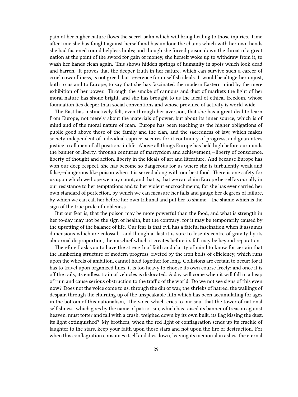pain of her higher nature flows the secret balm which will bring healing to those injuries. Time after time she has fought against herself and has undone the chains which with her own hands she had fastened round helpless limbs; and though she forced poison down the throat of a great nation at the point of the sword for gain of money, she herself woke up to withdraw from it, to wash her hands clean again. This shows hidden springs of humanity in spots which look dead and barren. It proves that the deeper truth in her nature, which can survive such a career of cruel cowardliness, is not greed, but reverence for unselfish ideals. It would be altogether unjust, both to us and to Europe, to say that she has fascinated the modern Eastern mind by the mere exhibition of her power. Through the smoke of cannons and dust of markets the light of her moral nature has shone bright, and she has brought to us the ideal of ethical freedom, whose foundation lies deeper than social conventions and whose province of activity is world-wide.

The East has instinctively felt, even through her aversion, that she has a great deal to learn from Europe, not merely about the materials of power, but about its inner source, which is of mind and of the moral nature of man. Europe has been teaching us the higher obligations of public good above those of the family and the clan, and the sacredness of law, which makes society independent of individual caprice, secures for it continuity of progress, and guarantees justice to all men of all positions in life. Above all things Europe has held high before our minds the banner of liberty, through centuries of martyrdom and achievement,—liberty of conscience, liberty of thought and action, liberty in the ideals of art and literature. And because Europe has won our deep respect, she has become so dangerous for us where she is turbulently weak and false,—dangerous like poison when it is served along with our best food. There is one safety for us upon which we hope we may count, and that is, that we can claim Europe herself as our ally in our resistance to her temptations and to her violent encroachments; for she has ever carried her own standard of perfection, by which we can measure her falls and gauge her degrees of failure, by which we can call her before her own tribunal and put her to shame,—the shame which is the sign of the true pride of nobleness.

But our fear is, that the poison may be more powerful than the food, and what is strength in her to-day may not be the sign of health, but the contrary; for it may be temporarily caused by the upsetting of the balance of life. Our fear is that evil has a fateful fascination when it assumes dimensions which are colossal,—and though at last it is sure to lose its centre of gravity by its abnormal disproportion, the mischief which it creates before its fall may be beyond reparation.

Therefore I ask you to have the strength of faith and clarity of mind to know for certain that the lumbering structure of modern progress, riveted by the iron bolts of efficiency, which runs upon the wheels of ambition, cannot hold together for long. Collisions are certain to occur; for it has to travel upon organized lines, it is too heavy to choose its own course freely; and once it is off the rails, its endless train of vehicles is dislocated. A day will come when it will fall in a heap of ruin and cause serious obstruction to the traffic of the world. Do we not see signs of this even now? Does not the voice come to us, through the din of war, the shrieks of hatred, the wailings of despair, through the churning up of the unspeakable filth which has been accumulating for ages in the bottom of this nationalism,—the voice which cries to our soul that the tower of national selfishness, which goes by the name of patriotism, which has raised its banner of treason against heaven, must totter and fall with a crash, weighed down by its own bulk, its flag kissing the dust, its light extinguished? My brothers, when the red light of conflagration sends up its crackle of laughter to the stars, keep your faith upon those stars and not upon the fire of destruction. For when this conflagration consumes itself and dies down, leaving its memorial in ashes, the eternal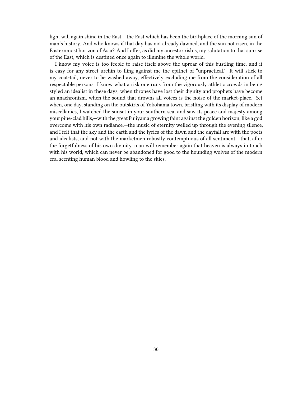light will again shine in the East,—the East which has been the birthplace of the morning sun of man's history. And who knows if that day has not already dawned, and the sun not risen, in the Easternmost horizon of Asia? And I offer, as did my ancestor rishis, my salutation to that sunrise of the East, which is destined once again to illumine the whole world.

I know my voice is too feeble to raise itself above the uproar of this bustling time, and it is easy for any street urchin to fling against me the epithet of "unpractical." It will stick to my coat-tail, never to be washed away, effectively excluding me from the consideration of all respectable persons. I know what a risk one runs from the vigorously athletic crowds in being styled an idealist in these days, when thrones have lost their dignity and prophets have become an anachronism, when the sound that drowns all voices is the noise of the market-place. Yet when, one day, standing on the outskirts of Yokohama town, bristling with its display of modern miscellanies, I watched the sunset in your southern sea, and saw its peace and majesty among your pine-clad hills,—with the great Fujiyama growing faint against the golden horizon, like a god overcome with his own radiance,—the music of eternity welled up through the evening silence, and I felt that the sky and the earth and the lyrics of the dawn and the dayfall are with the poets and idealists, and not with the marketmen robustly contemptuous of all sentiment,—that, after the forgetfulness of his own divinity, man will remember again that heaven is always in touch with his world, which can never be abandoned for good to the hounding wolves of the modern era, scenting human blood and howling to the skies.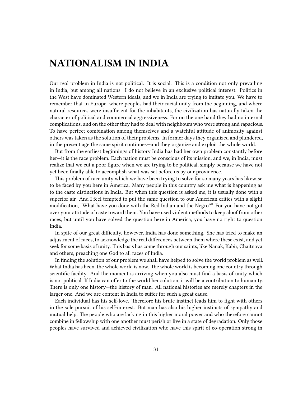## <span id="page-30-0"></span>**NATIONALISM IN INDIA**

Our real problem in India is not political. It is social. This is a condition not only prevailing in India, but among all nations. I do not believe in an exclusive political interest. Politics in the West have dominated Western ideals, and we in India are trying to imitate you. We have to remember that in Europe, where peoples had their racial unity from the beginning, and where natural resources were insufficient for the inhabitants, the civilization has naturally taken the character of political and commercial aggressiveness. For on the one hand they had no internal complications, and on the other they had to deal with neighbours who were strong and rapacious. To have perfect combination among themselves and a watchful attitude of animosity against others was taken as the solution of their problems. In former days they organized and plundered, in the present age the same spirit continues—and they organize and exploit the whole world.

But from the earliest beginnings of history India has had her own problem constantly before her—it is the race problem. Each nation must be conscious of its mission, and we, in India, must realize that we cut a poor figure when we are trying to be political, simply because we have not yet been finally able to accomplish what was set before us by our providence.

This problem of race unity which we have been trying to solve for so many years has likewise to be faced by you here in America. Many people in this country ask me what is happening as to the caste distinctions in India. But when this question is asked me, it is usually done with a superior air. And I feel tempted to put the same question to our American critics with a slight modification, "What have you done with the Red Indian and the Negro?" For you have not got over your attitude of caste toward them. You have used violent methods to keep aloof from other races, but until you have solved the question here in America, you have no right to question India.

In spite of our great difficulty, however, India has done something. She has tried to make an adjustment of races, to acknowledge the real differences between them where these exist, and yet seek for some basis of unity. This basis has come through our saints, like Nanak, Kabir, Chaitnaya and others, preaching one God to all races of India.

In finding the solution of our problem we shall have helped to solve the world problem as well. What India has been, the whole world is now. The whole world is becoming one country through scientific facility. And the moment is arriving when you also must find a basis of unity which is not political. If India can offer to the world her solution, it will be a contribution to humanity. There is only one history—the history of man. All national histories are merely chapters in the larger one. And we are content in India to suffer for such a great cause.

Each individual has his self-love. Therefore his brute instinct leads him to fight with others in the sole pursuit of his self-interest. But man has also his higher instincts of sympathy and mutual help. The people who are lacking in this higher moral power and who therefore cannot combine in fellowship with one another must perish or live in a state of degradation. Only those peoples have survived and achieved civilization who have this spirit of co-operation strong in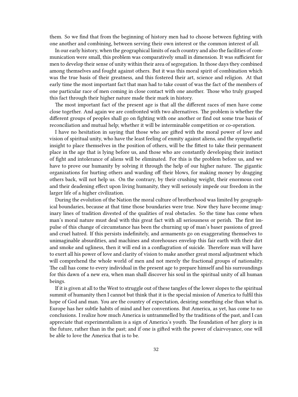them. So we find that from the beginning of history men had to choose between fighting with one another and combining, between serving their own interest or the common interest of all.

In our early history, when the geographical limits of each country and also the facilities of communication were small, this problem was comparatively small in dimension. It was sufficient for men to develop their sense of unity within their area of segregation. In those days they combined among themselves and fought against others. But it was this moral spirit of combination which was the true basis of their greatness, and this fostered their art, science and religion. At that early time the most important fact that man had to take count of was the fact of the members of one particular race of men coming in close contact with one another. Those who truly grasped this fact through their higher nature made their mark in history.

The most important fact of the present age is that all the different races of men have come close together. And again we are confronted with two alternatives. The problem is whether the different groups of peoples shall go on fighting with one another or find out some true basis of reconciliation and mutual help; whether it will be interminable competition or co-operation.

I have no hesitation in saying that those who are gifted with the moral power of love and vision of spiritual unity, who have the least feeling of enmity against aliens, and the sympathetic insight to place themselves in the position of others, will be the fittest to take their permanent place in the age that is lying before us, and those who are constantly developing their instinct of fight and intolerance of aliens will be eliminated. For this is the problem before us, and we have to prove our humanity by solving it through the help of our higher nature. The gigantic organizations for hurting others and warding off their blows, for making money by dragging others back, will not help us. On the contrary, by their crushing weight, their enormous cost and their deadening effect upon living humanity, they will seriously impede our freedom in the larger life of a higher civilization.

During the evolution of the Nation the moral culture of brotherhood was limited by geographical boundaries, because at that time those boundaries were true. Now they have become imaginary lines of tradition divested of the qualities of real obstacles. So the time has come when man's moral nature must deal with this great fact with all seriousness or perish. The first impulse of this change of circumstance has been the churning up of man's baser passions of greed and cruel hatred. If this persists indefinitely, and armaments go on exaggerating themselves to unimaginable absurdities, and machines and storehouses envelop this fair earth with their dirt and smoke and ugliness, then it will end in a conflagration of suicide. Therefore man will have to exert all his power of love and clarity of vision to make another great moral adjustment which will comprehend the whole world of men and not merely the fractional groups of nationality. The call has come to every individual in the present age to prepare himself and his surroundings for this dawn of a new era, when man shall discover his soul in the spiritual unity of all human beings.

If it is given at all to the West to struggle out of these tangles of the lower slopes to the spiritual summit of humanity then I cannot but think that it is the special mission of America to fulfil this hope of God and man. You are the country of expectation, desiring something else than what is. Europe has her subtle habits of mind and her conventions. But America, as yet, has come to no conclusions. I realize how much America is untrammelled by the traditions of the past, and I can appreciate that experimentalism is a sign of America's youth. The foundation of her glory is in the future, rather than in the past; and if one is gifted with the power of clairvoyance, one will be able to love the America that is to be.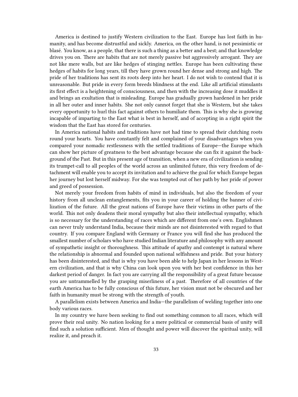America is destined to justify Western civilization to the East. Europe has lost faith in humanity, and has become distrustful and sickly. America, on the other hand, is not pessimistic or blasé. You know, as a people, that there is such a thing as a better and a best; and that knowledge drives you on. There are habits that are not merely passive but aggressively arrogant. They are not like mere walls, but are like hedges of stinging nettles. Europe has been cultivating these hedges of habits for long years, till they have grown round her dense and strong and high. The pride of her traditions has sent its roots deep into her heart. I do not wish to contend that it is unreasonable. But pride in every form breeds blindness at the end. Like all artificial stimulants its first effect is a heightening of consciousness, and then with the increasing dose it muddles it and brings an exultation that is misleading. Europe has gradually grown hardened in her pride in all her outer and inner habits. She not only cannot forget that she is Western, but she takes every opportunity to hurl this fact against others to humiliate them. This is why she is growing incapable of imparting to the East what is best in herself, and of accepting in a right spirit the wisdom that the East has stored for centuries.

In America national habits and traditions have not had time to spread their clutching roots round your hearts. You have constantly felt and complained of your disadvantages when you compared your nomadic restlessness with the settled traditions of Europe—the Europe which can show her picture of greatness to the best advantage because she can fix it against the background of the Past. But in this present age of transition, when a new era of civilization is sending its trumpet-call to all peoples of the world across an unlimited future, this very freedom of detachment will enable you to accept its invitation and to achieve the goal for which Europe began her journey but lost herself midway. For she was tempted out of her path by her pride of power and greed of possession.

Not merely your freedom from habits of mind in individuals, but also the freedom of your history from all unclean entanglements, fits you in your career of holding the banner of civilization of the future. All the great nations of Europe have their victims in other parts of the world. This not only deadens their moral sympathy but also their intellectual sympathy, which is so necessary for the understanding of races which are different from one's own. Englishmen can never truly understand India, because their minds are not disinterested with regard to that country. If you compare England with Germany or France you will find she has produced the smallest number of scholars who have studied Indian literature and philosophy with any amount of sympathetic insight or thoroughness. This attitude of apathy and contempt is natural where the relationship is abnormal and founded upon national selfishness and pride. But your history has been disinterested, and that is why you have been able to help Japan in her lessons in Western civilization, and that is why China can look upon you with her best confidence in this her darkest period of danger. In fact you are carrying all the responsibility of a great future because you are untrammelled by the grasping miserliness of a past. Therefore of all countries of the earth America has to be fully conscious of this future, her vision must not be obscured and her faith in humanity must be strong with the strength of youth.

A parallelism exists between America and India—the parallelism of welding together into one body various races.

In my country we have been seeking to find out something common to all races, which will prove their real unity. No nation looking for a mere political or commercial basis of unity will find such a solution sufficient. Men of thought and power will discover the spiritual unity, will realize it, and preach it.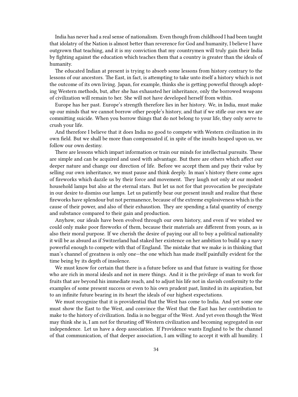India has never had a real sense of nationalism. Even though from childhood I had been taught that idolatry of the Nation is almost better than reverence for God and humanity, I believe I have outgrown that teaching, and it is my conviction that my countrymen will truly gain their India by fighting against the education which teaches them that a country is greater than the ideals of humanity.

The educated Indian at present is trying to absorb some lessons from history contrary to the lessons of our ancestors. The East, in fact, is attempting to take unto itself a history which is not the outcome of its own living. Japan, for example, thinks she is getting powerful through adopting Western methods, but, after she has exhausted her inheritance, only the borrowed weapons of civilization will remain to her. She will not have developed herself from within.

Europe has her past. Europe's strength therefore lies in her history. We, in India, must make up our minds that we cannot borrow other people's history, and that if we stifle our own we are committing suicide. When you borrow things that do not belong to your life, they only serve to crush your life.

And therefore I believe that it does India no good to compete with Western civilization in its own field. But we shall be more than compensated if, in spite of the insults heaped upon us, we follow our own destiny.

There are lessons which impart information or train our minds for intellectual pursuits. These are simple and can be acquired and used with advantage. But there are others which affect our deeper nature and change our direction of life. Before we accept them and pay their value by selling our own inheritance, we must pause and think deeply. In man's history there come ages of fireworks which dazzle us by their force and movement. They laugh not only at our modest household lamps but also at the eternal stars. But let us not for that provocation be precipitate in our desire to dismiss our lamps. Let us patiently bear our present insult and realize that these fireworks have splendour but not permanence, because of the extreme explosiveness which is the cause of their power, and also of their exhaustion. They are spending a fatal quantity of energy and substance compared to their gain and production.

Anyhow, our ideals have been evolved through our own history, and even if we wished we could only make poor fireworks of them, because their materials are different from yours, as is also their moral purpose. If we cherish the desire of paying our all to buy a political nationality it will be as absurd as if Switzerland had staked her existence on her ambition to build up a navy powerful enough to compete with that of England. The mistake that we make is in thinking that man's channel of greatness is only one—the one which has made itself painfully evident for the time being by its depth of insolence.

We must know for certain that there is a future before us and that future is waiting for those who are rich in moral ideals and not in mere things. And it is the privilege of man to work for fruits that are beyond his immediate reach, and to adjust his life not in slavish conformity to the examples of some present success or even to his own prudent past, limited in its aspiration, but to an infinite future bearing in its heart the ideals of our highest expectations.

We must recognize that it is providential that the West has come to India. And yet some one must show the East to the West, and convince the West that the East has her contribution to make to the history of civilization. India is no beggar of the West. And yet even though the West may think she is, I am not for thrusting off Western civilization and becoming segregated in our independence. Let us have a deep association. If Providence wants England to be the channel of that communication, of that deeper association, I am willing to accept it with all humility. I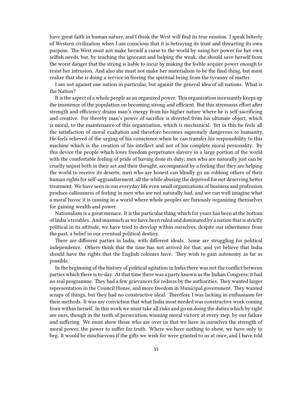have great faith in human nature, and I think the West will find its true mission. I speak bitterly of Western civilization when I am conscious that it is betraying its trust and thwarting its own purpose. The West must not make herself a curse to the world by using her power for her own selfish needs, but, by teaching the ignorant and helping the weak, she should save herself from the worst danger that the strong is liable to incur by making the feeble acquire power enough to resist her intrusion. And also she must not make her materialism to be the final thing, but must realize that she is doing a service in freeing the spiritual being from the tyranny of matter.

I am not against one nation in particular, but against the general idea of all nations. What is the Nation?

It is the aspect of a whole people as an organized power. This organization incessantly keeps up the insistence of the population on becoming strong and efficient. But this strenuous effort after strength and efficiency drains man's energy from his higher nature where he is self-sacrificing and creative. For thereby man's power of sacrifice is diverted from his ultimate object, which is moral, to the maintenance of this organization, which is mechanical. Yet in this he feels all the satisfaction of moral exaltation and therefore becomes supremely dangerous to humanity. He feels relieved of the urging of his conscience when he can transfer his responsibility to this machine which is the creation of his intellect and not of his complete moral personality. By this device the people which loves freedom perpetuates slavery in a large portion of the world with the comfortable feeling of pride of having done its duty; men who are naturally just can be cruelly unjust both in their act and their thought, accompanied by a feeling that they are helping the world to receive its deserts; men who are honest can blindly go on robbing others of their human rights for self-aggrandizement, all the while abusing the deprived for not deserving better treatment. We have seen in our everyday life even small organizations of business and profession produce callousness of feeling in men who are not naturally bad, and we can well imagine what a moral havoc it is causing in a world where whole peoples are furiously organizing themselves for gaining wealth and power.

Nationalism is a great menace. It is the particular thing which for years has been at the bottom of India's troubles. And inasmuch as we have been ruled and dominated by a nation that is strictly political in its attitude, we have tried to develop within ourselves, despite our inheritance from the past, a belief in our eventual political destiny.

There are different parties in India, with different ideals. Some are struggling for political independence. Others think that the time has not arrived for that, and yet believe that India should have the rights that the English colonies have. They wish to gain autonomy as far as possible.

In the beginning of the history of political agitation in India there was not the conflict between parties which there is to-day. At that time there was a party known as the Indian Congress; it had no real programme. They had a few grievances for redress by the authorities. They wanted larger representation in the Council House, and more freedom in Municipal government. They wanted scraps of things, but they had no constructive ideal. Therefore I was lacking in enthusiasm for their methods. It was my conviction that what India most needed was constructive work coming from within herself. In this work we must take all risks and go on doing the duties which by right are ours, though in the teeth of persecution; winning moral victory at every step, by our failure and suffering. We must show those who are over us that we have in ourselves the strength of moral power, the power to suffer for truth. Where we have nothing to show, we have only to beg. It would be mischievous if the gifts we wish for were granted to us at once, and I have told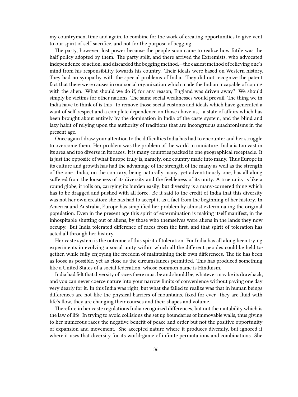my countrymen, time and again, to combine for the work of creating opportunities to give vent to our spirit of self-sacrifice, and not for the purpose of begging.

The party, however, lost power because the people soon came to realize how futile was the half policy adopted by them. The party split, and there arrived the Extremists, who advocated independence of action, and discarded the begging method,—the easiest method of relieving one's mind from his responsibility towards his country. Their ideals were based on Western history. They had no sympathy with the special problems of India. They did not recognize the patent fact that there were causes in our social organization which made the Indian incapable of coping with the alien. What should we do if, for any reason, England was driven away? We should simply be victims for other nations. The same social weaknesses would prevail. The thing we in India have to think of is this—to remove those social customs and ideals which have generated a want of self-respect and a complete dependence on those above us,—a state of affairs which has been brought about entirely by the domination in India of the caste system, and the blind and lazy habit of relying upon the authority of traditions that are incongruous anachronisms in the present age.

Once again I draw your attention to the difficulties India has had to encounter and her struggle to overcome them. Her problem was the problem of the world in miniature. India is too vast in its area and too diverse in its races. It is many countries packed in one geographical receptacle. It is just the opposite of what Europe truly is, namely, one country made into many. Thus Europe in its culture and growth has had the advantage of the strength of the many as well as the strength of the one. India, on the contrary, being naturally many, yet adventitiously one, has all along suffered from the looseness of its diversity and the feebleness of its unity. A true unity is like a round globe, it rolls on, carrying its burden easily; but diversity is a many-cornered thing which has to be dragged and pushed with all force. Be it said to the credit of India that this diversity was not her own creation; she has had to accept it as a fact from the beginning of her history. In America and Australia, Europe has simplified her problem by almost exterminating the original population. Even in the present age this spirit of extermination is making itself manifest, in the inhospitable shutting out of aliens, by those who themselves were aliens in the lands they now occupy. But India tolerated difference of races from the first, and that spirit of toleration has acted all through her history.

Her caste system is the outcome of this spirit of toleration. For India has all along been trying experiments in evolving a social unity within which all the different peoples could be held together, while fully enjoying the freedom of maintaining their own differences. The tie has been as loose as possible, yet as close as the circumstances permitted. This has produced something like a United States of a social federation, whose common name is Hinduism.

India had felt that diversity of races there must be and should be, whatever may be its drawback, and you can never coerce nature into your narrow limits of convenience without paying one day very dearly for it. In this India was right; but what she failed to realize was that in human beings differences are not like the physical barriers of mountains, fixed for ever—they are fluid with life's flow, they are changing their courses and their shapes and volume.

Therefore in her caste regulations India recognized differences, but not the mutability which is the law of life. In trying to avoid collisions she set up boundaries of immovable walls, thus giving to her numerous races the negative benefit of peace and order but not the positive opportunity of expansion and movement. She accepted nature where it produces diversity, but ignored it where it uses that diversity for its world-game of infinite permutations and combinations. She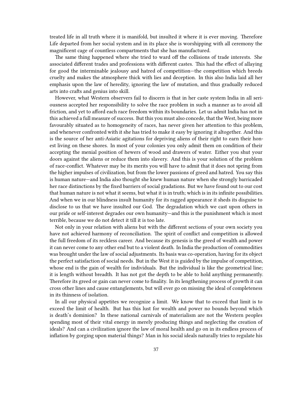treated life in all truth where it is manifold, but insulted it where it is ever moving. Therefore Life departed from her social system and in its place she is worshipping with all ceremony the magnificent cage of countless compartments that she has manufactured.

The same thing happened where she tried to ward off the collisions of trade interests. She associated different trades and professions with different castes. This had the effect of allaying for good the interminable jealousy and hatred of competition—the competition which breeds cruelty and makes the atmosphere thick with lies and deception. In this also India laid all her emphasis upon the law of heredity, ignoring the law of mutation, and thus gradually reduced arts into crafts and genius into skill.

However, what Western observers fail to discern is that in her caste system India in all seriousness accepted her responsibility to solve the race problem in such a manner as to avoid all friction, and yet to afford each race freedom within its boundaries. Let us admit India has not in this achieved a full measure of success. But this you must also concede, that the West, being more favourably situated as to homogeneity of races, has never given her attention to this problem, and whenever confronted with it she has tried to make it easy by ignoring it altogether. And this is the source of her anti-Asiatic agitations for depriving aliens of their right to earn their honest living on these shores. In most of your colonies you only admit them on condition of their accepting the menial position of hewers of wood and drawers of water. Either you shut your doors against the aliens or reduce them into slavery. And this is your solution of the problem of race-conflict. Whatever may be its merits you will have to admit that it does not spring from the higher impulses of civilization, but from the lower passions of greed and hatred. You say this is human nature—and India also thought she knew human nature when she strongly barricaded her race distinctions by the fixed barriers of social gradations. But we have found out to our cost that human nature is not what it seems, but what it is in truth; which is in its infinite possibilities. And when we in our blindness insult humanity for its ragged appearance it sheds its disguise to disclose to us that we have insulted our God. The degradation which we cast upon others in our pride or self-interest degrades our own humanity—and this is the punishment which is most terrible, because we do not detect it till it is too late.

Not only in your relation with aliens but with the different sections of your own society you have not achieved harmony of reconciliation. The spirit of conflict and competition is allowed the full freedom of its reckless career. And because its genesis is the greed of wealth and power it can never come to any other end but to a violent death. In India the production of commodities was brought under the law of social adjustments. Its basis was co-operation, having for its object the perfect satisfaction of social needs. But in the West it is guided by the impulse of competition, whose end is the gain of wealth for individuals. But the individual is like the geometrical line; it is length without breadth. It has not got the depth to be able to hold anything permanently. Therefore its greed or gain can never come to finality. In its lengthening process of growth it can cross other lines and cause entanglements, but will ever go on missing the ideal of completeness in its thinness of isolation.

In all our physical appetites we recognize a limit. We know that to exceed that limit is to exceed the limit of health. But has this lust for wealth and power no bounds beyond which is death's dominion? In these national carnivals of materialism are not the Western peoples spending most of their vital energy in merely producing things and neglecting the creation of ideals? And can a civilization ignore the law of moral health and go on in its endless process of inflation by gorging upon material things? Man in his social ideals naturally tries to regulate his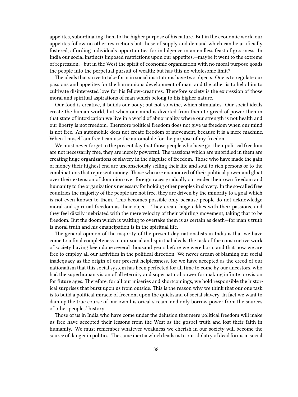appetites, subordinating them to the higher purpose of his nature. But in the economic world our appetites follow no other restrictions but those of supply and demand which can be artificially fostered, affording individuals opportunities for indulgence in an endless feast of grossness. In India our social instincts imposed restrictions upon our appetites,—maybe it went to the extreme of repression,—but in the West the spirit of economic organization with no moral purpose goads the people into the perpetual pursuit of wealth; but has this no wholesome limit?

The ideals that strive to take form in social institutions have two objects. One is to regulate our passions and appetites for the harmonious development of man, and the other is to help him to cultivate disinterested love for his fellow-creatures. Therefore society is the expression of those moral and spiritual aspirations of man which belong to his higher nature.

Our food is creative, it builds our body; but not so wine, which stimulates. Our social ideals create the human world, but when our mind is diverted from them to greed of power then in that state of intoxication we live in a world of abnormality where our strength is not health and our liberty is not freedom. Therefore political freedom does not give us freedom when our mind is not free. An automobile does not create freedom of movement, because it is a mere machine. When I myself am free I can use the automobile for the purpose of my freedom.

We must never forget in the present day that those people who have got their political freedom are not necessarily free, they are merely powerful. The passions which are unbridled in them are creating huge organizations of slavery in the disguise of freedom. Those who have made the gain of money their highest end are unconsciously selling their life and soul to rich persons or to the combinations that represent money. Those who are enamoured of their political power and gloat over their extension of dominion over foreign races gradually surrender their own freedom and humanity to the organizations necessary for holding other peoples in slavery. In the so-called free countries the majority of the people are not free, they are driven by the minority to a goal which is not even known to them. This becomes possible only because people do not acknowledge moral and spiritual freedom as their object. They create huge eddies with their passions, and they feel dizzily inebriated with the mere velocity of their whirling movement, taking that to be freedom. But the doom which is waiting to overtake them is as certain as death—for man's truth is moral truth and his emancipation is in the spiritual life.

The general opinion of the majority of the present-day nationalists in India is that we have come to a final completeness in our social and spiritual ideals, the task of the constructive work of society having been done several thousand years before we were born, and that now we are free to employ all our activities in the political direction. We never dream of blaming our social inadequacy as the origin of our present helplessness, for we have accepted as the creed of our nationalism that this social system has been perfected for all time to come by our ancestors, who had the superhuman vision of all eternity and supernatural power for making infinite provision for future ages. Therefore, for all our miseries and shortcomings, we hold responsible the historical surprises that burst upon us from outside. This is the reason why we think that our one task is to build a political miracle of freedom upon the quicksand of social slavery. In fact we want to dam up the true course of our own historical stream, and only borrow power from the sources of other peoples' history.

Those of us in India who have come under the delusion that mere political freedom will make us free have accepted their lessons from the West as the gospel truth and lost their faith in humanity. We must remember whatever weakness we cherish in our society will become the source of danger in politics. The same inertia which leads us to our idolatry of dead forms in social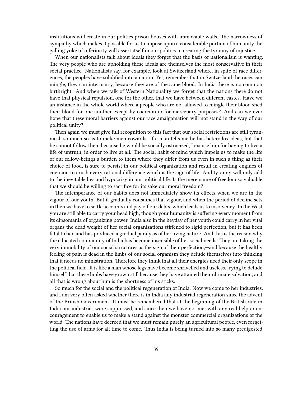institutions will create in our politics prison-houses with immovable walls. The narrowness of sympathy which makes it possible for us to impose upon a considerable portion of humanity the galling yoke of inferiority will assert itself in our politics in creating the tyranny of injustice.

When our nationalists talk about ideals they forget that the basis of nationalism is wanting. The very people who are upholding these ideals are themselves the most conservative in their social practice. Nationalists say, for example, look at Switzerland where, in spite of race differences, the peoples have solidified into a nation. Yet, remember that in Switzerland the races can mingle, they can intermarry, because they are of the same blood. In India there is no common birthright. And when we talk of Western Nationality we forget that the nations there do not have that physical repulsion, one for the other, that we have between different castes. Have we an instance in the whole world where a people who are not allowed to mingle their blood shed their blood for one another except by coercion or for mercenary purposes? And can we ever hope that these moral barriers against our race amalgamation will not stand in the way of our political unity?

Then again we must give full recognition to this fact that our social restrictions are still tyrannical, so much so as to make men cowards. If a man tells me he has heterodox ideas, but that he cannot follow them because he would be socially ostracized, I excuse him for having to live a life of untruth, in order to live at all. The social habit of mind which impels us to make the life of our fellow-beings a burden to them where they differ from us even in such a thing as their choice of food, is sure to persist in our political organization and result in creating engines of coercion to crush every rational difference which is the sign of life. And tyranny will only add to the inevitable lies and hypocrisy in our political life. Is the mere name of freedom so valuable that we should be willing to sacrifice for its sake our moral freedom?

The intemperance of our habits does not immediately show its effects when we are in the vigour of our youth. But it gradually consumes that vigour, and when the period of decline sets in then we have to settle accounts and pay off our debts, which leads us to insolvency. In the West you are still able to carry your head high, though your humanity is suffering every moment from its dipsomania of organizing power. India also in the heyday of her youth could carry in her vital organs the dead weight of her social organizations stiffened to rigid perfection, but it has been fatal to her, and has produced a gradual paralysis of her living nature. And this is the reason why the educated community of India has become insensible of her social needs. They are taking the very immobility of our social structures as the sign of their perfection,—and because the healthy feeling of pain is dead in the limbs of our social organism they delude themselves into thinking that it needs no ministration. Therefore they think that all their energies need their only scope in the political field. It is like a man whose legs have become shrivelled and useless, trying to delude himself that these limbs have grown still because they have attained their ultimate salvation, and all that is wrong about him is the shortness of his sticks.

So much for the social and the political regeneration of India. Now we come to her industries, and I am very often asked whether there is in India any industrial regeneration since the advent of the British Government. It must be remembered that at the beginning of the British rule in India our industries were suppressed, and since then we have not met with any real help or encouragement to enable us to make a stand against the monster commercial organizations of the world. The nations have decreed that we must remain purely an agricultural people, even forgetting the use of arms for all time to come. Thus India is being turned into so many predigested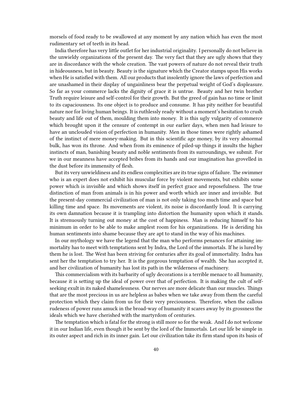morsels of food ready to be swallowed at any moment by any nation which has even the most rudimentary set of teeth in its head.

India therefore has very little outlet for her industrial originality. I personally do not believe in the unwieldy organizations of the present day. The very fact that they are ugly shows that they are in discordance with the whole creation. The vast powers of nature do not reveal their truth in hideousness, but in beauty. Beauty is the signature which the Creator stamps upon His works when He is satisfied with them. All our products that insolently ignore the laws of perfection and are unashamed in their display of ungainliness bear the perpetual weight of God's displeasure. So far as your commerce lacks the dignity of grace it is untrue. Beauty and her twin brother Truth require leisure and self-control for their growth. But the greed of gain has no time or limit to its capaciousness. Its one object is to produce and consume. It has pity neither for beautiful nature nor for living human beings. It is ruthlessly ready without a moment's hesitation to crush beauty and life out of them, moulding them into money. It is this ugly vulgarity of commerce which brought upon it the censure of contempt in our earlier days, when men had leisure to have an unclouded vision of perfection in humanity. Men in those times were rightly ashamed of the instinct of mere money-making. But in this scientific age money, by its very abnormal bulk, has won its throne. And when from its eminence of piled-up things it insults the higher instincts of man, banishing beauty and noble sentiments from its surroundings, we submit. For we in our meanness have accepted bribes from its hands and our imagination has grovelled in the dust before its immensity of flesh.

But its very unwieldiness and its endless complexities are its true signs of failure. The swimmer who is an expert does not exhibit his muscular force by violent movements, but exhibits some power which is invisible and which shows itself in perfect grace and reposefulness. The true distinction of man from animals is in his power and worth which are inner and invisible. But the present-day commercial civilization of man is not only taking too much time and space but killing time and space. Its movements are violent, its noise is discordantly loud. It is carrying its own damnation because it is trampling into distortion the humanity upon which it stands. It is strenuously turning out money at the cost of happiness. Man is reducing himself to his minimum in order to be able to make amplest room for his organizations. He is deriding his human sentiments into shame because they are apt to stand in the way of his machines.

In our mythology we have the legend that the man who performs penances for attaining immortality has to meet with temptations sent by Indra, the Lord of the immortals. If he is lured by them he is lost. The West has been striving for centuries after its goal of immortality. Indra has sent her the temptation to try her. It is the gorgeous temptation of wealth. She has accepted it, and her civilization of humanity has lost its path in the wilderness of machinery.

This commercialism with its barbarity of ugly decorations is a terrible menace to all humanity, because it is setting up the ideal of power over that of perfection. It is making the cult of selfseeking exult in its naked shamelessness. Our nerves are more delicate than our muscles. Things that are the most precious in us are helpless as babes when we take away from them the careful protection which they claim from us for their very preciousness. Therefore, when the callous rudeness of power runs amuck in the broad-way of humanity it scares away by its grossness the ideals which we have cherished with the martyrdom of centuries.

The temptation which is fatal for the strong is still more so for the weak. And I do not welcome it in our Indian life, even though it be sent by the lord of the Immortals. Let our life be simple in its outer aspect and rich in its inner gain. Let our civilization take its firm stand upon its basis of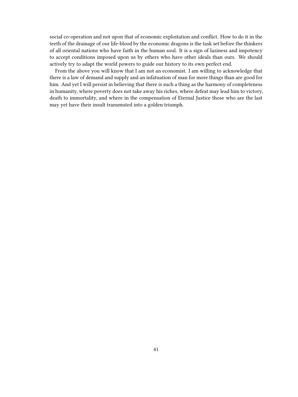social co-operation and not upon that of economic exploitation and conflict. How to do it in the teeth of the drainage of our life-blood by the economic dragons is the task set before the thinkers of all oriental nations who have faith in the human soul. It is a sign of laziness and impotency to accept conditions imposed upon us by others who have other ideals than ours. We should actively try to adapt the world powers to guide our history to its own perfect end.

From the above you will know that I am not an economist. I am willing to acknowledge that there is a law of demand and supply and an infatuation of man for more things than are good for him. And yet I will persist in believing that there is such a thing as the harmony of completeness in humanity, where poverty does not take away his riches, where defeat may lead him to victory, death to immortality, and where in the compensation of Eternal Justice those who are the last may yet have their insult transmuted into a golden triumph.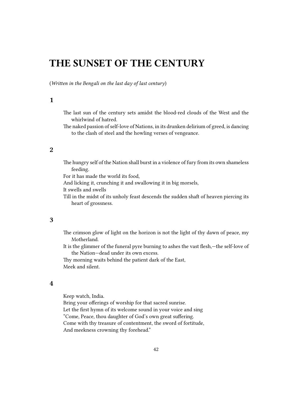## <span id="page-41-0"></span>**THE SUNSET OF THE CENTURY**

(*Written in the Bengali on the last day of last century*)

### <span id="page-41-1"></span>**1**

- The last sun of the century sets amidst the blood-red clouds of the West and the whirlwind of hatred.
- The naked passion of self-love of Nations, in its drunken delirium of greed, is dancing to the clash of steel and the howling verses of vengeance.

#### <span id="page-41-2"></span>**2**

The hungry self of the Nation shall burst in a violence of fury from its own shameless feeding.

For it has made the world its food,

And licking it, crunching it and swallowing it in big morsels,

It swells and swells

Till in the midst of its unholy feast descends the sudden shaft of heaven piercing its heart of grossness.

#### <span id="page-41-3"></span>**3**

The crimson glow of light on the horizon is not the light of thy dawn of peace, my Motherland.

It is the glimmer of the funeral pyre burning to ashes the vast flesh,—the self-love of the Nation—dead under its own excess.

Thy morning waits behind the patient dark of the East, Meek and silent.

#### <span id="page-41-4"></span>**4**

Keep watch, India.

Bring your offerings of worship for that sacred sunrise. Let the first hymn of its welcome sound in your voice and sing "Come, Peace, thou daughter of God's own great suffering. Come with thy treasure of contentment, the sword of fortitude, And meekness crowning thy forehead."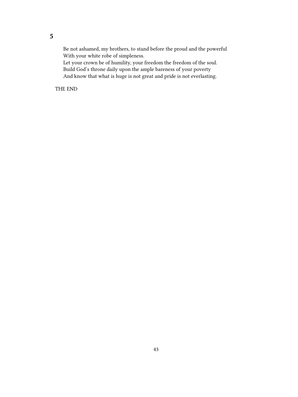<span id="page-42-0"></span>Be not ashamed, my brothers, to stand before the proud and the powerful With your white robe of simpleness.

Let your crown be of humility, your freedom the freedom of the soul. Build God's throne daily upon the ample bareness of your poverty And know that what is huge is not great and pride is not everlasting.

THE END